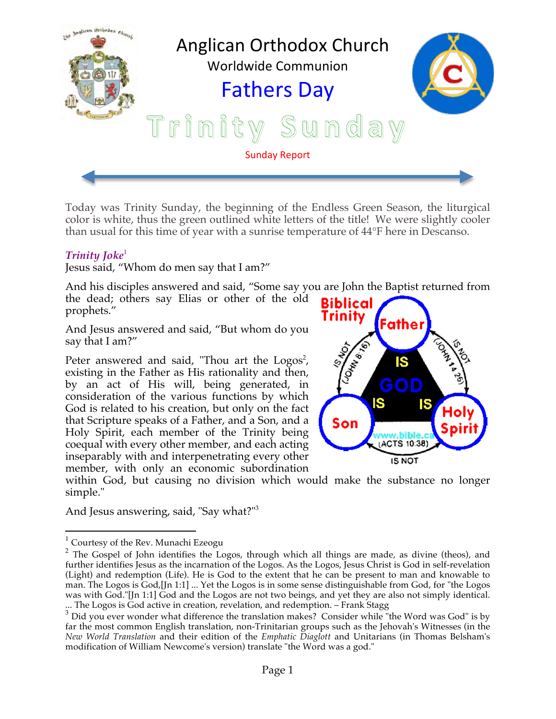

Today was Trinity Sunday, the beginning of the Endless Green Season, the liturgical color is white, thus the green outlined white letters of the title! We were slightly cooler than usual for this time of year with a sunrise temperature of 44°F here in Descanso.

### *Trinity Joke*<sup>1</sup>

Jesus said, "Whom do men say that I am?"

And his disciples answered and said, "Some say you are John the Baptist returned from the dead; others say Elias or other of the old prophets."

And Jesus answered and said, "But whom do you say that I am?"

Peter answered and said, "Thou art the  $Logos^2$ , existing in the Father as His rationality and then, by an act of His will, being generated, in consideration of the various functions by which God is related to his creation, but only on the fact that Scripture speaks of a Father, and a Son, and a Holy Spirit, each member of the Trinity being coequal with every other member, and each acting inseparably with and interpenetrating every other member, with only an economic subordination



within God, but causing no division which would make the substance no longer simple."

And Jesus answering, said, "Say what?"3

 $1$  Courtesy of the Rev. Munachi Ezeogu

<sup>&</sup>lt;sup>2</sup> The Gospel of John identifies the Logos, through which all things are made, as divine (theos), and further identifies Jesus as the incarnation of the Logos. As the Logos, Jesus Christ is God in self-revelation (Light) and redemption (Life). He is God to the extent that he can be present to man and knowable to man. The Logos is God,[Jn 1:1] ... Yet the Logos is in some sense distinguishable from God, for "the Logos was with God."[Jn 1:1] God and the Logos are not two beings, and yet they are also not simply identical. ... The Logos is God active in creation, revelation, and redemption. – Frank Stagg

 $3$  Did you ever wonder what difference the translation makes? Consider while "the Word was God" is by far the most common English translation, non-Trinitarian groups such as the Jehovah's Witnesses (in the *New World Translation* and their edition of the *Emphatic Diaglott* and Unitarians (in Thomas Belsham's modification of William Newcome's version) translate "the Word was a god."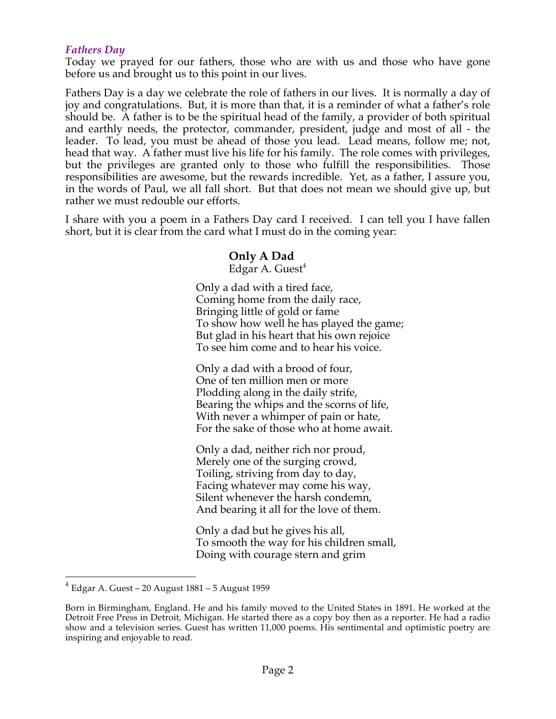### *Fathers Day*

Today we prayed for our fathers, those who are with us and those who have gone before us and brought us to this point in our lives.

Fathers Day is a day we celebrate the role of fathers in our lives. It is normally a day of joy and congratulations. But, it is more than that, it is a reminder of what a father's role should be. A father is to be the spiritual head of the family, a provider of both spiritual and earthly needs, the protector, commander, president, judge and most of all - the leader. To lead, you must be ahead of those you lead. Lead means, follow me; not, head that way. A father must live his life for his family. The role comes with privileges, but the privileges are granted only to those who fulfill the responsibilities. Those responsibilities are awesome, but the rewards incredible. Yet, as a father, I assure you, in the words of Paul, we all fall short. But that does not mean we should give up, but rather we must redouble our efforts.

I share with you a poem in a Fathers Day card I received. I can tell you I have fallen short, but it is clear from the card what I must do in the coming year:

# **Only A Dad**

Edgar A. Guest<sup>4</sup>

Only a dad with a tired face, Coming home from the daily race, Bringing little of gold or fame To show how well he has played the game; But glad in his heart that his own rejoice To see him come and to hear his voice.

Only a dad with a brood of four, One of ten million men or more Plodding along in the daily strife, Bearing the whips and the scorns of life, With never a whimper of pain or hate, For the sake of those who at home await.

Only a dad, neither rich nor proud, Merely one of the surging crowd, Toiling, striving from day to day, Facing whatever may come his way, Silent whenever the harsh condemn, And bearing it all for the love of them.

Only a dad but he gives his all, To smooth the way for his children small, Doing with courage stern and grim

 $4$  Edgar A. Guest – 20 August 1881 – 5 August 1959

Born in Birmingham, England. He and his family moved to the United States in 1891. He worked at the Detroit Free Press in Detroit, Michigan. He started there as a copy boy then as a reporter. He had a radio show and a television series. Guest has written 11,000 poems. His sentimental and optimistic poetry are inspiring and enjoyable to read.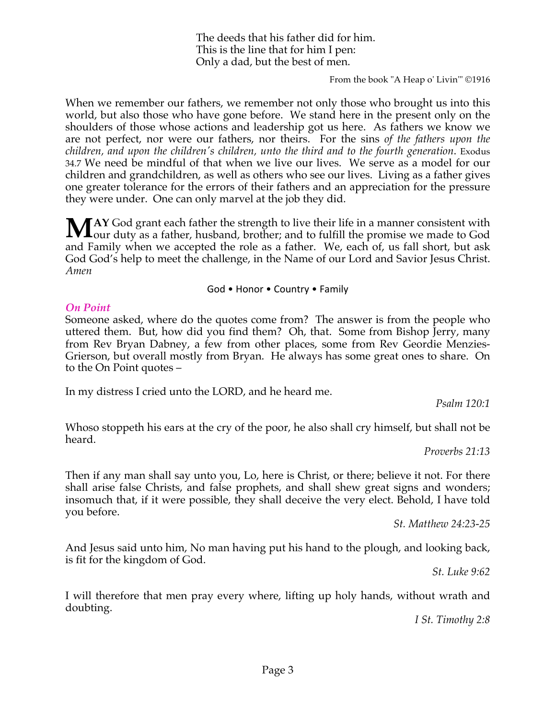The deeds that his father did for him. This is the line that for him I pen: Only a dad, but the best of men.

From the book "A Heap o' Livin'" ©1916

When we remember our fathers, we remember not only those who brought us into this world, but also those who have gone before. We stand here in the present only on the shoulders of those whose actions and leadership got us here. As fathers we know we are not perfect, nor were our fathers, nor theirs. For the sins *of the fathers upon the children, and upon the children's children, unto the third and to the fourth generation*. Exodus 34.7 We need be mindful of that when we live our lives. We serve as a model for our children and grandchildren, as well as others who see our lives. Living as a father gives one greater tolerance for the errors of their fathers and an appreciation for the pressure they were under. One can only marvel at the job they did.

**AY** God grant each father the strength to live their life in a manner consistent with MAY God grant each father the strength to live their life in a manner consistent with our duty as a father, husband, brother; and to fulfill the promise we made to God and Family when we accepted the role as a father. We, each of, us fall short, but ask God God's help to meet the challenge, in the Name of our Lord and Savior Jesus Christ. *Amen*

God • Honor • Country • Family

#### *On Point*

Someone asked, where do the quotes come from? The answer is from the people who uttered them. But, how did you find them? Oh, that. Some from Bishop Jerry, many from Rev Bryan Dabney, a few from other places, some from Rev Geordie Menzies-Grierson, but overall mostly from Bryan. He always has some great ones to share. On to the On Point quotes –

In my distress I cried unto the LORD, and he heard me.

*Psalm 120:1*

Whoso stoppeth his ears at the cry of the poor, he also shall cry himself, but shall not be heard.

*Proverbs 21:13*

Then if any man shall say unto you, Lo, here is Christ, or there; believe it not. For there shall arise false Christs, and false prophets, and shall shew great signs and wonders; insomuch that, if it were possible, they shall deceive the very elect. Behold, I have told you before.

*St. Matthew 24:23-25*

And Jesus said unto him, No man having put his hand to the plough, and looking back, is fit for the kingdom of God.

*St. Luke 9:62*

I will therefore that men pray every where, lifting up holy hands, without wrath and doubting.

*I St. Timothy 2:8*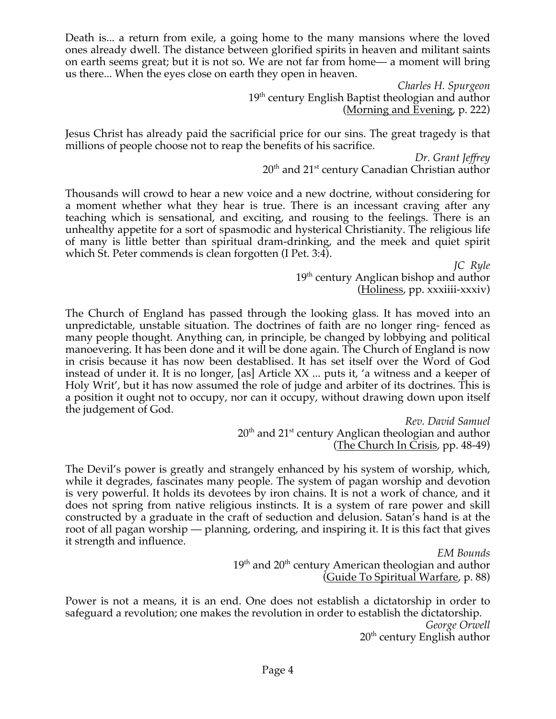Death is... a return from exile, a going home to the many mansions where the loved ones already dwell. The distance between glorified spirits in heaven and militant saints on earth seems great; but it is not so. We are not far from home— a moment will bring us there... When the eyes close on earth they open in heaven.

> *Charles H. Spurgeon* 19<sup>th</sup> century English Baptist theologian and author (Morning and Evening, p. 222)

Jesus Christ has already paid the sacrificial price for our sins. The great tragedy is that millions of people choose not to reap the benefits of his sacrifice.

> *Dr. Grant Jeffrey* 20<sup>th</sup> and 21<sup>st</sup> century Canadian Christian author

Thousands will crowd to hear a new voice and a new doctrine, without considering for a moment whether what they hear is true. There is an incessant craving after any teaching which is sensational, and exciting, and rousing to the feelings. There is an unhealthy appetite for a sort of spasmodic and hysterical Christianity. The religious life of many is little better than spiritual dram-drinking, and the meek and quiet spirit which St. Peter commends is clean forgotten (I Pet. 3:4).

> *JC Ryle* 19<sup>th</sup> century Anglican bishop and author (Holiness, pp. xxxiiii-xxxiv)

The Church of England has passed through the looking glass. It has moved into an unpredictable, unstable situation. The doctrines of faith are no longer ring- fenced as many people thought. Anything can, in principle, be changed by lobbying and political manoevering. It has been done and it will be done again. The Church of England is now in crisis because it has now been destablised. It has set itself over the Word of God instead of under it. It is no longer, [as] Article XX ... puts it, 'a witness and a keeper of Holy Writ', but it has now assumed the role of judge and arbiter of its doctrines. This is a position it ought not to occupy, nor can it occupy, without drawing down upon itself the judgement of God.

> *Rev. David Samuel*  $20<sup>th</sup>$  and  $21<sup>st</sup>$  century Anglican theologian and author (The Church In Crisis, pp. 48-49)

The Devil's power is greatly and strangely enhanced by his system of worship, which, while it degrades, fascinates many people. The system of pagan worship and devotion is very powerful. It holds its devotees by iron chains. It is not a work of chance, and it does not spring from native religious instincts. It is a system of rare power and skill constructed by a graduate in the craft of seduction and delusion. Satan's hand is at the root of all pagan worship — planning, ordering, and inspiring it. It is this fact that gives it strength and influence.

> *EM Bounds*  $19<sup>th</sup>$  and  $20<sup>th</sup>$  century American theologian and author (Guide To Spiritual Warfare, p. 88)

Power is not a means, it is an end. One does not establish a dictatorship in order to safeguard a revolution; one makes the revolution in order to establish the dictatorship. *George Orwell*  $20<sup>th</sup>$  century English author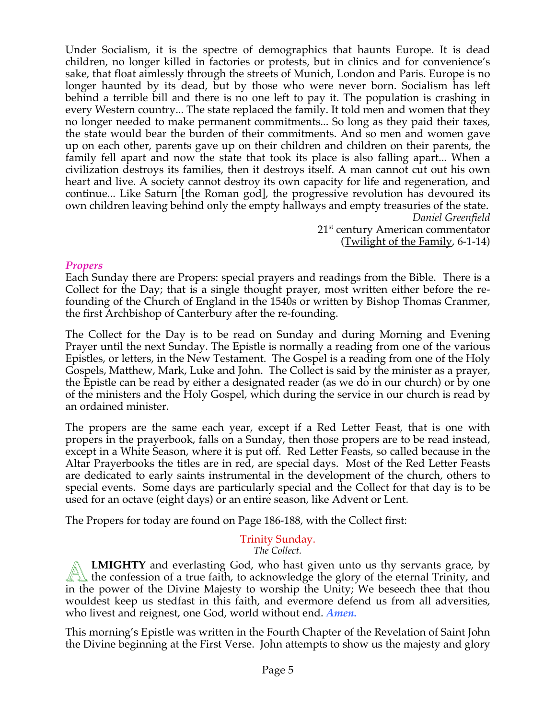Under Socialism, it is the spectre of demographics that haunts Europe. It is dead children, no longer killed in factories or protests, but in clinics and for convenience's sake, that float aimlessly through the streets of Munich, London and Paris. Europe is no longer haunted by its dead, but by those who were never born. Socialism has left behind a terrible bill and there is no one left to pay it. The population is crashing in every Western country... The state replaced the family. It told men and women that they no longer needed to make permanent commitments... So long as they paid their taxes, the state would bear the burden of their commitments. And so men and women gave up on each other, parents gave up on their children and children on their parents, the family fell apart and now the state that took its place is also falling apart... When a civilization destroys its families, then it destroys itself. A man cannot cut out his own heart and live. A society cannot destroy its own capacity for life and regeneration, and continue... Like Saturn [the Roman god], the progressive revolution has devoured its own children leaving behind only the empty hallways and empty treasuries of the state. *Daniel Greenfield*

21<sup>st</sup> century American commentator (Twilight of the Family, 6-1-14)

### *Propers*

Each Sunday there are Propers: special prayers and readings from the Bible. There is a Collect for the Day; that is a single thought prayer, most written either before the refounding of the Church of England in the 1540s or written by Bishop Thomas Cranmer, the first Archbishop of Canterbury after the re-founding.

The Collect for the Day is to be read on Sunday and during Morning and Evening Prayer until the next Sunday. The Epistle is normally a reading from one of the various Epistles, or letters, in the New Testament. The Gospel is a reading from one of the Holy Gospels, Matthew, Mark, Luke and John. The Collect is said by the minister as a prayer, the Epistle can be read by either a designated reader (as we do in our church) or by one of the ministers and the Holy Gospel, which during the service in our church is read by an ordained minister.

The propers are the same each year, except if a Red Letter Feast, that is one with propers in the prayerbook, falls on a Sunday, then those propers are to be read instead, except in a White Season, where it is put off. Red Letter Feasts, so called because in the Altar Prayerbooks the titles are in red, are special days. Most of the Red Letter Feasts are dedicated to early saints instrumental in the development of the church, others to special events. Some days are particularly special and the Collect for that day is to be used for an octave (eight days) or an entire season, like Advent or Lent.

The Propers for today are found on Page 186-188, with the Collect first:

# Trinity Sunday.

*The Collect.*

**LMIGHTY** and everlasting God, who hast given unto us thy servants grace, by **EMIGHTY** and everlasting God, who hast given unto us thy servants grace, by<br>the confession of a true faith, to acknowledge the glory of the eternal Trinity, and in the power of the Divine Majesty to worship the Unity; We beseech thee that thou wouldest keep us stedfast in this faith, and evermore defend us from all adversities, who livest and reignest, one God, world without end. *Amen.*

This morning's Epistle was written in the Fourth Chapter of the Revelation of Saint John the Divine beginning at the First Verse. John attempts to show us the majesty and glory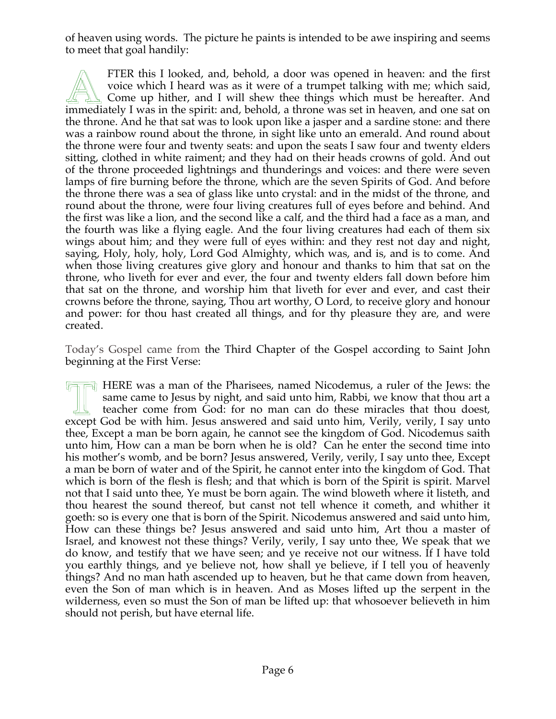of heaven using words. The picture he paints is intended to be awe inspiring and seems to meet that goal handily:

FTER this I looked, and, behold, a door was opened in heaven: and the first voice which I heard was as it were of a trumpet talking with me; which said, Come up hither, and I will shew thee things which must be hereafter. And FTER this I looked, and, behold, a door was opened in heaven: and the first<br>voice which I heard was as it were of a trumpet talking with me; which said,<br>Come up hither, and I will shew thee things which must be hereafter. the throne. And he that sat was to look upon like a jasper and a sardine stone: and there was a rainbow round about the throne, in sight like unto an emerald. And round about the throne were four and twenty seats: and upon the seats I saw four and twenty elders sitting, clothed in white raiment; and they had on their heads crowns of gold. And out of the throne proceeded lightnings and thunderings and voices: and there were seven lamps of fire burning before the throne, which are the seven Spirits of God. And before the throne there was a sea of glass like unto crystal: and in the midst of the throne, and round about the throne, were four living creatures full of eyes before and behind. And the first was like a lion, and the second like a calf, and the third had a face as a man, and the fourth was like a flying eagle. And the four living creatures had each of them six wings about him; and they were full of eyes within: and they rest not day and night, saying, Holy, holy, holy, Lord God Almighty, which was, and is, and is to come. And when those living creatures give glory and honour and thanks to him that sat on the throne, who liveth for ever and ever, the four and twenty elders fall down before him that sat on the throne, and worship him that liveth for ever and ever, and cast their crowns before the throne, saying, Thou art worthy, O Lord, to receive glory and honour and power: for thou hast created all things, and for thy pleasure they are, and were created.

Today's Gospel came from the Third Chapter of the Gospel according to Saint John beginning at the First Verse:

HERE was a man of the Pharisees, named Nicodemus, a ruler of the Jews: the same came to Jesus by night, and said unto him, Rabbi, we know that thou art a teacher come from God: for no man can do these miracles that thou do same came to Jesus by night, and said unto him, Rabbi, we know that thou art a teacher come from God: for no man can do these miracles that thou doest, except God be with him. Jesus answered and said unto him, Verily, verily, I say unto thee, Except a man be born again, he cannot see the kingdom of God. Nicodemus saith unto him, How can a man be born when he is old? Can he enter the second time into his mother's womb, and be born? Jesus answered, Verily, verily, I say unto thee, Except a man be born of water and of the Spirit, he cannot enter into the kingdom of God. That which is born of the flesh is flesh; and that which is born of the Spirit is spirit. Marvel not that I said unto thee, Ye must be born again. The wind bloweth where it listeth, and thou hearest the sound thereof, but canst not tell whence it cometh, and whither it goeth: so is every one that is born of the Spirit. Nicodemus answered and said unto him, How can these things be? Jesus answered and said unto him, Art thou a master of Israel, and knowest not these things? Verily, verily, I say unto thee, We speak that we do know, and testify that we have seen; and ye receive not our witness. If I have told you earthly things, and ye believe not, how shall ye believe, if I tell you of heavenly things? And no man hath ascended up to heaven, but he that came down from heaven, even the Son of man which is in heaven. And as Moses lifted up the serpent in the wilderness, even so must the Son of man be lifted up: that whosoever believeth in him should not perish, but have eternal life.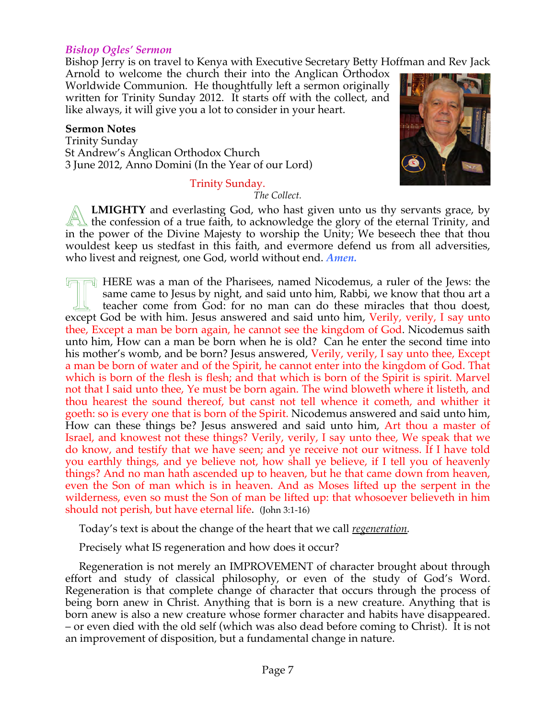#### *Bishop Ogles' Sermon*

Bishop Jerry is on travel to Kenya with Executive Secretary Betty Hoffman and Rev Jack

Arnold to welcome the church their into the Anglican Orthodox Worldwide Communion. He thoughtfully left a sermon originally written for Trinity Sunday 2012. It starts off with the collect, and like always, it will give you a lot to consider in your heart.

#### **Sermon Notes**

Trinity Sunday St Andrew's Anglican Orthodox Church 3 June 2012, Anno Domini (In the Year of our Lord)

#### Trinity Sunday.

*The Collect.*



**LMIGHTY** and everlasting God, who hast given unto us thy servants grace, by **EMIGHTY** and everlasting God, who hast given unto us thy servants grace, by the confession of a true faith, to acknowledge the glory of the eternal Trinity, and in the power of the Divine Majesty to worship the Unity; We beseech thee that thou wouldest keep us stedfast in this faith, and evermore defend us from all adversities, who livest and reignest, one God, world without end. *Amen.*

 $\Box$  HERE was a man of the Pharisees, named Nicodemus, a ruler of the Jews: the same came to Jesus by night, and said unto him, Rabbi, we know that thou art a teacher come from God: for no man can do these miracles that thou doest, EXE was a man of the Pharisees, named Nicodemus, a ruler of the Jews: the same came to Jesus by night, and said unto him, Rabbi, we know that thou art a teacher come from God: for no man can do these miracles that thou doe thee, Except a man be born again, he cannot see the kingdom of God. Nicodemus saith unto him, How can a man be born when he is old? Can he enter the second time into his mother's womb, and be born? Jesus answered, Verily, verily, I say unto thee, Except a man be born of water and of the Spirit, he cannot enter into the kingdom of God. That which is born of the flesh is flesh; and that which is born of the Spirit is spirit. Marvel not that I said unto thee, Ye must be born again. The wind bloweth where it listeth, and thou hearest the sound thereof, but canst not tell whence it cometh, and whither it goeth: so is every one that is born of the Spirit. Nicodemus answered and said unto him, How can these things be? Jesus answered and said unto him, Art thou a master of Israel, and knowest not these things? Verily, verily, I say unto thee, We speak that we do know, and testify that we have seen; and ye receive not our witness. If I have told you earthly things, and ye believe not, how shall ye believe, if I tell you of heavenly things? And no man hath ascended up to heaven, but he that came down from heaven, even the Son of man which is in heaven. And as Moses lifted up the serpent in the wilderness, even so must the Son of man be lifted up: that whosoever believeth in him should not perish, but have eternal life. (John 3:1-16)

Today's text is about the change of the heart that we call *regeneration.*

Precisely what IS regeneration and how does it occur?

 Regeneration is not merely an IMPROVEMENT of character brought about through effort and study of classical philosophy, or even of the study of God's Word. Regeneration is that complete change of character that occurs through the process of being born anew in Christ. Anything that is born is a new creature. Anything that is born anew is also a new creature whose former character and habits have disappeared. – or even died with the old self (which was also dead before coming to Christ). It is not an improvement of disposition, but a fundamental change in nature.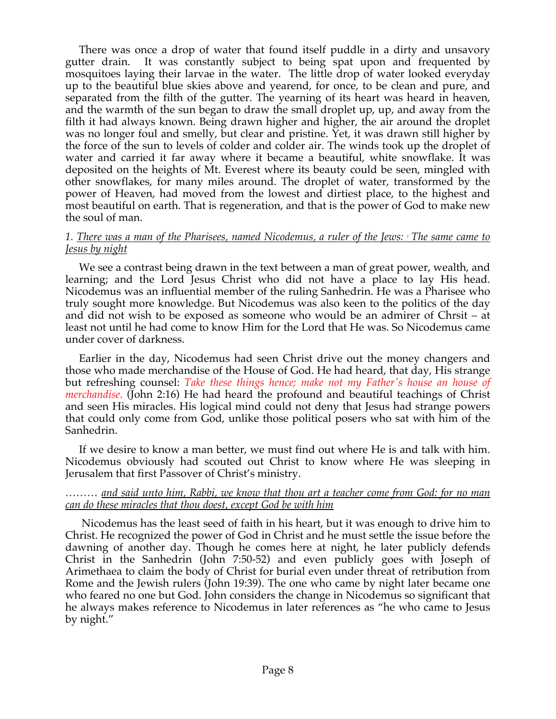There was once a drop of water that found itself puddle in a dirty and unsavory gutter drain. It was constantly subject to being spat upon and frequented by mosquitoes laying their larvae in the water. The little drop of water looked everyday up to the beautiful blue skies above and yearend, for once, to be clean and pure, and separated from the filth of the gutter. The yearning of its heart was heard in heaven, and the warmth of the sun began to draw the small droplet up, up, and away from the filth it had always known. Being drawn higher and higher, the air around the droplet was no longer foul and smelly, but clear and pristine. Yet, it was drawn still higher by the force of the sun to levels of colder and colder air. The winds took up the droplet of water and carried it far away where it became a beautiful, white snowflake. It was deposited on the heights of Mt. Everest where its beauty could be seen, mingled with other snowflakes, for many miles around. The droplet of water, transformed by the power of Heaven, had moved from the lowest and dirtiest place, to the highest and most beautiful on earth. That is regeneration, and that is the power of God to make new the soul of man.

#### *1. There was a man of the Pharisees, named Nicodemus, a ruler of the Jews: 2 The same came to Jesus by night*

 We see a contrast being drawn in the text between a man of great power, wealth, and learning; and the Lord Jesus Christ who did not have a place to lay His head. Nicodemus was an influential member of the ruling Sanhedrin. He was a Pharisee who truly sought more knowledge. But Nicodemus was also keen to the politics of the day and did not wish to be exposed as someone who would be an admirer of Chrsit – at least not until he had come to know Him for the Lord that He was. So Nicodemus came under cover of darkness.

 Earlier in the day, Nicodemus had seen Christ drive out the money changers and those who made merchandise of the House of God. He had heard, that day, His strange but refreshing counsel: *Take these things hence; make not my Father's house an house of merchandise.* (John 2:16) He had heard the profound and beautiful teachings of Christ and seen His miracles. His logical mind could not deny that Jesus had strange powers that could only come from God, unlike those political posers who sat with him of the Sanhedrin.

 If we desire to know a man better, we must find out where He is and talk with him. Nicodemus obviously had scouted out Christ to know where He was sleeping in Jerusalem that first Passover of Christ's ministry.

#### *……… and said unto him, Rabbi, we know that thou art a teacher come from God: for no man can do these miracles that thou doest, except God be with him*

 Nicodemus has the least seed of faith in his heart, but it was enough to drive him to Christ. He recognized the power of God in Christ and he must settle the issue before the dawning of another day. Though he comes here at night, he later publicly defends Christ in the Sanhedrin (John 7:50-52) and even publicly goes with Joseph of Arimethaea to claim the body of Christ for burial even under threat of retribution from Rome and the Jewish rulers (John 19:39). The one who came by night later became one who feared no one but God. John considers the change in Nicodemus so significant that he always makes reference to Nicodemus in later references as "he who came to Jesus by night."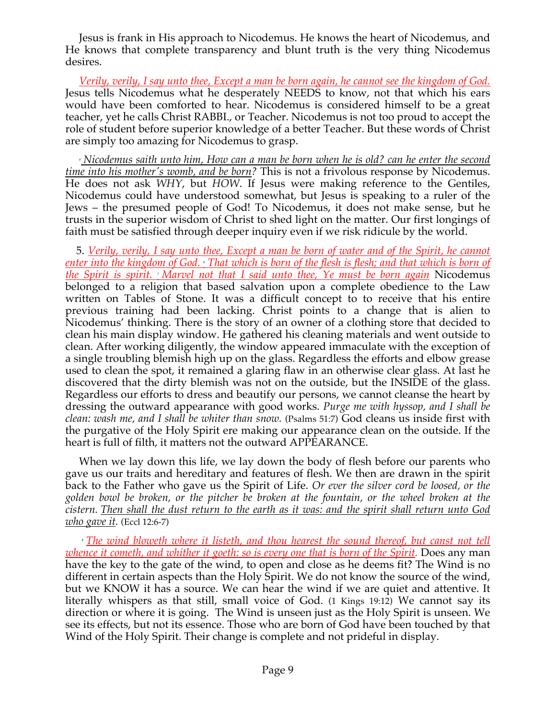Jesus is frank in His approach to Nicodemus. He knows the heart of Nicodemus, and He knows that complete transparency and blunt truth is the very thing Nicodemus desires.

 *Verily, verily, I say unto thee, Except a man be born again, he cannot see the kingdom of God.* Jesus tells Nicodemus what he desperately NEEDS to know, not that which his ears would have been comforted to hear. Nicodemus is considered himself to be a great teacher, yet he calls Christ RABBI., or Teacher. Nicodemus is not too proud to accept the role of student before superior knowledge of a better Teacher. But these words of Christ are simply too amazing for Nicodemus to grasp.

 *<sup>4</sup> Nicodemus saith unto him, How can a man be born when he is old? can he enter the second time into his mother's womb, and be born?* This is not a frivolous response by Nicodemus. He does not ask *WHY*, but *HOW*. If Jesus were making reference to the Gentiles, Nicodemus could have understood somewhat, but Jesus is speaking to a ruler of the Jews – the presumed people of God! To Nicodemus, it does not make sense, but he trusts in the superior wisdom of Christ to shed light on the matter. Our first longings of faith must be satisfied through deeper inquiry even if we risk ridicule by the world.

 5. *Verily, verily, I say unto thee, Except a man be born of water and of the Spirit, he cannot enter into the kingdom of God. 6 That which is born of the flesh is flesh; and that which is born of the Spirit is spirit. 7 Marvel not that I said unto thee, Ye must be born again* Nicodemus belonged to a religion that based salvation upon a complete obedience to the Law written on Tables of Stone. It was a difficult concept to to receive that his entire previous training had been lacking. Christ points to a change that is alien to Nicodemus' thinking. There is the story of an owner of a clothing store that decided to clean his main display window. He gathered his cleaning materials and went outside to clean. After working diligently, the window appeared immaculate with the exception of a single troubling blemish high up on the glass. Regardless the efforts and elbow grease used to clean the spot, it remained a glaring flaw in an otherwise clear glass. At last he discovered that the dirty blemish was not on the outside, but the INSIDE of the glass. Regardless our efforts to dress and beautify our persons, we cannot cleanse the heart by dressing the outward appearance with good works. *Purge me with hyssop, and I shall be clean: wash me, and I shall be whiter than snow.* (Psalms 51:7) God cleans us inside first with the purgative of the Holy Spirit ere making our appearance clean on the outside. If the heart is full of filth, it matters not the outward APPEARANCE.

 When we lay down this life, we lay down the body of flesh before our parents who gave us our traits and hereditary and features of flesh. We then are drawn in the spirit back to the Father who gave us the Spirit of Life. *Or ever the silver cord be loosed, or the golden bowl be broken, or the pitcher be broken at the fountain, or the wheel broken at the cistern. Then shall the dust return to the earth as it was: and the spirit shall return unto God who gave it.* (Eccl 12:6-7)

 *<sup>8</sup> The wind bloweth where it listeth, and thou hearest the sound thereof, but canst not tell whence it cometh, and whither it goeth: so is every one that is born of the Spirit.* Does any man have the key to the gate of the wind, to open and close as he deems fit? The Wind is no different in certain aspects than the Holy Spirit. We do not know the source of the wind, but we KNOW it has a source. We can hear the wind if we are quiet and attentive. It literally whispers as that still, small voice of God. (1 Kings 19:12) We cannot say its direction or where it is going. The Wind is unseen just as the Holy Spirit is unseen. We see its effects, but not its essence. Those who are born of God have been touched by that Wind of the Holy Spirit. Their change is complete and not prideful in display.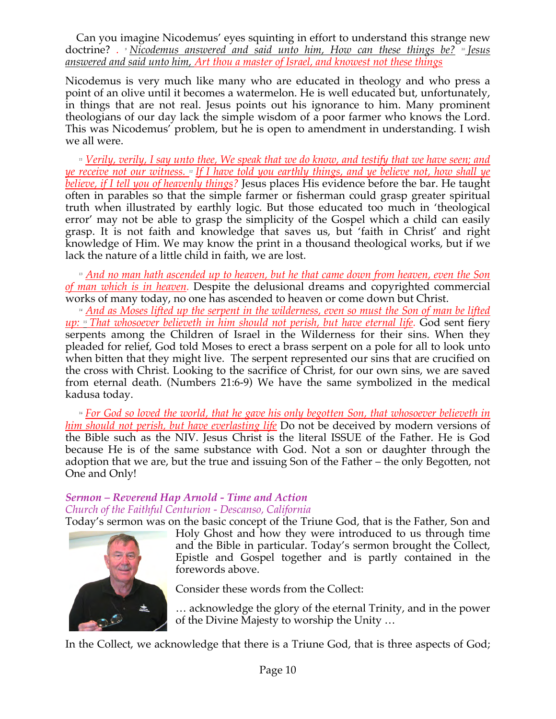Can you imagine Nicodemus' eyes squinting in effort to understand this strange new doctrine? *. <sup>9</sup> Nicodemus answered and said unto him, How can these things be? <sup>10</sup> Jesus answered and said unto him, Art thou a master of Israel, and knowest not these things*

Nicodemus is very much like many who are educated in theology and who press a point of an olive until it becomes a watermelon. He is well educated but, unfortunately, in things that are not real. Jesus points out his ignorance to him. Many prominent theologians of our day lack the simple wisdom of a poor farmer who knows the Lord. This was Nicodemus' problem, but he is open to amendment in understanding. I wish we all were.

<sup>11</sup> *Verily, verily, I say unto thee, We speak that we do know, and testify that we have seen; and ye receive not our witness. 12 If I have told you earthly things, and ye believe not, how shall ye believe, if I tell you of heavenly things?* Jesus places His evidence before the bar. He taught often in parables so that the simple farmer or fisherman could grasp greater spiritual truth when illustrated by earthly logic. But those educated too much in 'theological error' may not be able to grasp the simplicity of the Gospel which a child can easily grasp. It is not faith and knowledge that saves us, but 'faith in Christ' and right knowledge of Him. We may know the print in a thousand theological works, but if we lack the nature of a little child in faith, we are lost.

 *<sup>13</sup> And no man hath ascended up to heaven, but he that came down from heaven, even the Son of man which is in heaven.* Despite the delusional dreams and copyrighted commercial works of many today, no one has ascended to heaven or come down but Christ.

 *<sup>14</sup> And as Moses lifted up the serpent in the wilderness, even so must the Son of man be lifted up: 15 That whosoever believeth in him should not perish, but have eternal life.* God sent fiery serpents among the Children of Israel in the Wilderness for their sins. When they pleaded for relief, God told Moses to erect a brass serpent on a pole for all to look unto when bitten that they might live. The serpent represented our sins that are crucified on the cross with Christ. Looking to the sacrifice of Christ, for our own sins, we are saved from eternal death. (Numbers 21:6-9) We have the same symbolized in the medical kadusa today.

 *<sup>16</sup> For God so loved the world, that he gave his only begotten Son, that whosoever believeth in him should not perish, but have everlasting life* Do not be deceived by modern versions of the Bible such as the NIV. Jesus Christ is the literal ISSUE of the Father. He is God because He is of the same substance with God. Not a son or daughter through the adoption that we are, but the true and issuing Son of the Father – the only Begotten, not One and Only!

# *Sermon – Reverend Hap Arnold - Time and Action Church of the Faithful Centurion - Descanso, California*

Today's sermon was on the basic concept of the Triune God, that is the Father, Son and



Holy Ghost and how they were introduced to us through time and the Bible in particular. Today's sermon brought the Collect, Epistle and Gospel together and is partly contained in the forewords above.

Consider these words from the Collect:

… acknowledge the glory of the eternal Trinity, and in the power of the Divine Majesty to worship the Unity …

In the Collect, we acknowledge that there is a Triune God, that is three aspects of God;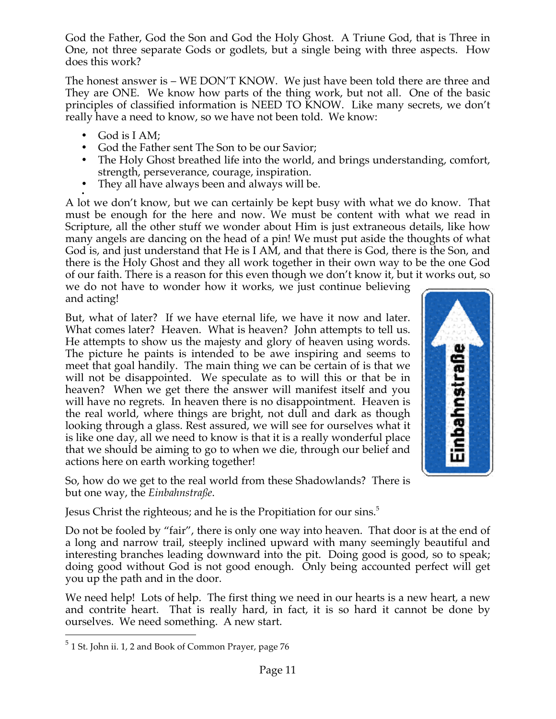God the Father, God the Son and God the Holy Ghost. A Triune God, that is Three in One, not three separate Gods or godlets, but a single being with three aspects. How does this work?

The honest answer is – WE DON'T KNOW. We just have been told there are three and They are ONE. We know how parts of the thing work, but not all. One of the basic principles of classified information is NEED TO KNOW. Like many secrets, we don't really have a need to know, so we have not been told. We know:

- God is I AM;
- God the Father sent The Son to be our Savior;
- The Holy Ghost breathed life into the world, and brings understanding, comfort, strength, perseverance, courage, inspiration.
- They all have always been and always will be.

• A lot we don't know, but we can certainly be kept busy with what we do know. That must be enough for the here and now. We must be content with what we read in Scripture, all the other stuff we wonder about Him is just extraneous details, like how many angels are dancing on the head of a pin! We must put aside the thoughts of what God is, and just understand that He is I AM, and that there is God, there is the Son, and there is the Holy Ghost and they all work together in their own way to be the one God of our faith. There is a reason for this even though we don't know it, but it works out, so we do not have to wonder how it works, we just continue believing and acting!

But, what of later? If we have eternal life, we have it now and later. What comes later? Heaven. What is heaven? John attempts to tell us. He attempts to show us the majesty and glory of heaven using words. The picture he paints is intended to be awe inspiring and seems to meet that goal handily. The main thing we can be certain of is that we will not be disappointed. We speculate as to will this or that be in heaven? When we get there the answer will manifest itself and you will have no regrets. In heaven there is no disappointment. Heaven is the real world, where things are bright, not dull and dark as though looking through a glass. Rest assured, we will see for ourselves what it is like one day, all we need to know is that it is a really wonderful place that we should be aiming to go to when we die, through our belief and actions here on earth working together!



So, how do we get to the real world from these Shadowlands? There is but one way, the *Einbahnstraße*.

Jesus Christ the righteous; and he is the Propitiation for our sins.<sup>5</sup>

Do not be fooled by "fair", there is only one way into heaven. That door is at the end of a long and narrow trail, steeply inclined upward with many seemingly beautiful and interesting branches leading downward into the pit. Doing good is good, so to speak; doing good without God is not good enough. Only being accounted perfect will get you up the path and in the door.

We need help! Lots of help. The first thing we need in our hearts is a new heart, a new and contrite heart. That is really hard, in fact, it is so hard it cannot be done by ourselves. We need something. A new start.

 $5$  1 St. John ii. 1, 2 and Book of Common Prayer, page 76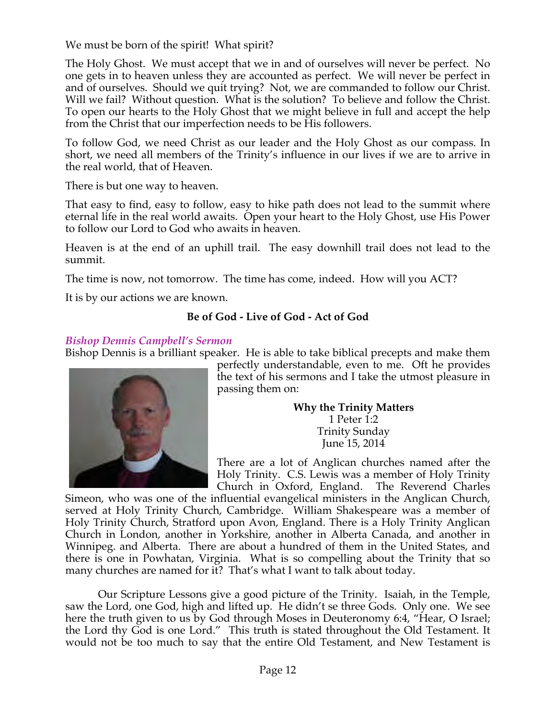We must be born of the spirit! What spirit?

The Holy Ghost. We must accept that we in and of ourselves will never be perfect. No one gets in to heaven unless they are accounted as perfect. We will never be perfect in and of ourselves. Should we quit trying? Not, we are commanded to follow our Christ. Will we fail? Without question. What is the solution? To believe and follow the Christ. To open our hearts to the Holy Ghost that we might believe in full and accept the help from the Christ that our imperfection needs to be His followers.

To follow God, we need Christ as our leader and the Holy Ghost as our compass. In short, we need all members of the Trinity's influence in our lives if we are to arrive in the real world, that of Heaven.

There is but one way to heaven.

That easy to find, easy to follow, easy to hike path does not lead to the summit where eternal life in the real world awaits. Open your heart to the Holy Ghost, use His Power to follow our Lord to God who awaits in heaven.

Heaven is at the end of an uphill trail. The easy downhill trail does not lead to the summit.

The time is now, not tomorrow. The time has come, indeed. How will you ACT?

It is by our actions we are known.

# **Be of God - Live of God - Act of God**

### *Bishop Dennis Campbell's Sermon*

Bishop Dennis is a brilliant speaker. He is able to take biblical precepts and make them



perfectly understandable, even to me. Oft he provides the text of his sermons and I take the utmost pleasure in passing them on:

> **Why the Trinity Matters** 1 Peter 1:2 Trinity Sunday June 15, 2014

There are a lot of Anglican churches named after the Holy Trinity. C.S. Lewis was a member of Holy Trinity Church in Oxford, England. The Reverend Charles

Simeon, who was one of the influential evangelical ministers in the Anglican Church, served at Holy Trinity Church, Cambridge. William Shakespeare was a member of Holy Trinity Church, Stratford upon Avon, England. There is a Holy Trinity Anglican Church in London, another in Yorkshire, another in Alberta Canada, and another in Winnipeg. and Alberta. There are about a hundred of them in the United States, and there is one in Powhatan, Virginia. What is so compelling about the Trinity that so many churches are named for it? That's what I want to talk about today.

Our Scripture Lessons give a good picture of the Trinity. Isaiah, in the Temple, saw the Lord, one God, high and lifted up. He didn't se three Gods. Only one. We see here the truth given to us by God through Moses in Deuteronomy 6:4, "Hear, O Israel; the Lord thy God is one Lord." This truth is stated throughout the Old Testament. It would not be too much to say that the entire Old Testament, and New Testament is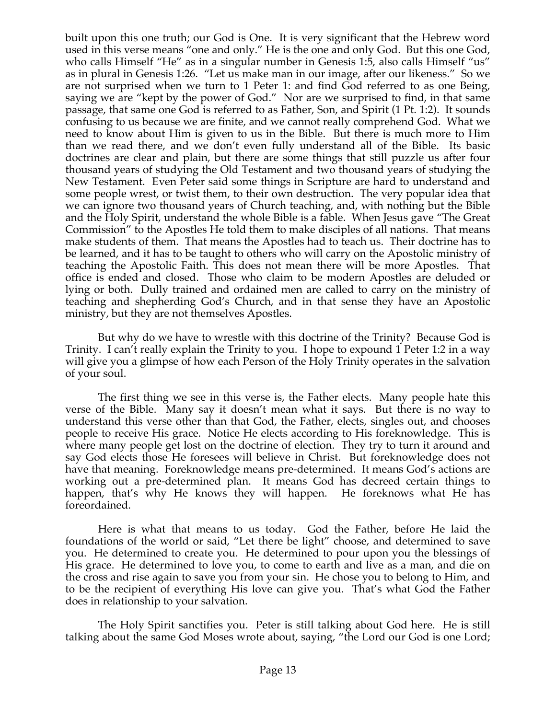built upon this one truth; our God is One. It is very significant that the Hebrew word used in this verse means "one and only." He is the one and only God. But this one God, who calls Himself "He" as in a singular number in Genesis 1:5, also calls Himself "us" as in plural in Genesis 1:26. "Let us make man in our image, after our likeness." So we are not surprised when we turn to 1 Peter 1: and find God referred to as one Being, saying we are "kept by the power of God." Nor are we surprised to find, in that same passage, that same one God is referred to as Father, Son, and Spirit (1 Pt. 1:2). It sounds confusing to us because we are finite, and we cannot really comprehend God. What we need to know about Him is given to us in the Bible. But there is much more to Him than we read there, and we don't even fully understand all of the Bible. Its basic doctrines are clear and plain, but there are some things that still puzzle us after four thousand years of studying the Old Testament and two thousand years of studying the New Testament. Even Peter said some things in Scripture are hard to understand and some people wrest, or twist them, to their own destruction. The very popular idea that we can ignore two thousand years of Church teaching, and, with nothing but the Bible and the Holy Spirit, understand the whole Bible is a fable. When Jesus gave "The Great Commission" to the Apostles He told them to make disciples of all nations. That means make students of them. That means the Apostles had to teach us. Their doctrine has to be learned, and it has to be taught to others who will carry on the Apostolic ministry of teaching the Apostolic Faith. This does not mean there will be more Apostles. That office is ended and closed. Those who claim to be modern Apostles are deluded or lying or both. Dully trained and ordained men are called to carry on the ministry of teaching and shepherding God's Church, and in that sense they have an Apostolic ministry, but they are not themselves Apostles.

 But why do we have to wrestle with this doctrine of the Trinity? Because God is Trinity. I can't really explain the Trinity to you. I hope to expound 1 Peter 1:2 in a way will give you a glimpse of how each Person of the Holy Trinity operates in the salvation of your soul.

 The first thing we see in this verse is, the Father elects. Many people hate this verse of the Bible. Many say it doesn't mean what it says. But there is no way to understand this verse other than that God, the Father, elects, singles out, and chooses people to receive His grace. Notice He elects according to His foreknowledge. This is where many people get lost on the doctrine of election. They try to turn it around and say God elects those He foresees will believe in Christ. But foreknowledge does not have that meaning. Foreknowledge means pre-determined. It means God's actions are working out a pre-determined plan. It means God has decreed certain things to happen, that's why He knows they will happen. He foreknows what He has foreordained.

 Here is what that means to us today. God the Father, before He laid the foundations of the world or said, "Let there be light" choose, and determined to save you. He determined to create you. He determined to pour upon you the blessings of His grace. He determined to love you, to come to earth and live as a man, and die on the cross and rise again to save you from your sin. He chose you to belong to Him, and to be the recipient of everything His love can give you. That's what God the Father does in relationship to your salvation.

 The Holy Spirit sanctifies you. Peter is still talking about God here. He is still talking about the same God Moses wrote about, saying, "the Lord our God is one Lord;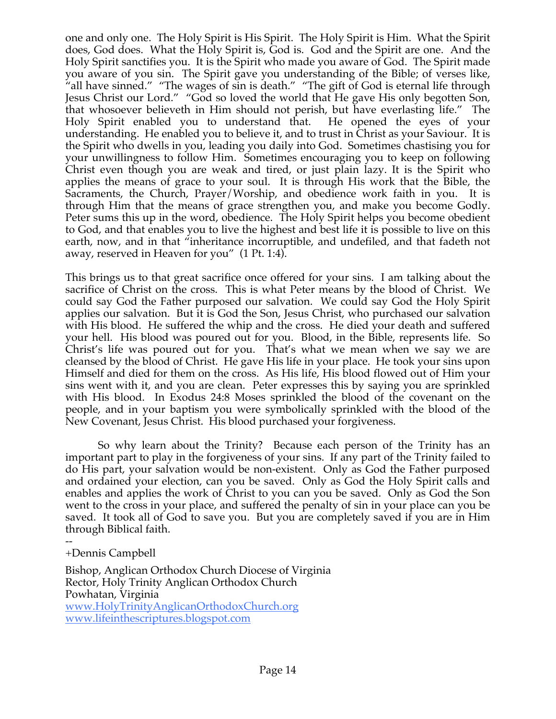one and only one. The Holy Spirit is His Spirit. The Holy Spirit is Him. What the Spirit does, God does. What the Holy Spirit is, God is. God and the Spirit are one. And the Holy Spirit sanctifies you. It is the Spirit who made you aware of God. The Spirit made you aware of you sin. The Spirit gave you understanding of the Bible; of verses like, "all have sinned." "The wages of sin is death." "The gift of God is eternal life through Jesus Christ our Lord." "God so loved the world that He gave His only begotten Son, that whosoever believeth in Him should not perish, but have everlasting life." The Holy Spirit enabled you to understand that. He opened the eyes of your understanding. He enabled you to believe it, and to trust in Christ as your Saviour. It is the Spirit who dwells in you, leading you daily into God. Sometimes chastising you for your unwillingness to follow Him. Sometimes encouraging you to keep on following Christ even though you are weak and tired, or just plain lazy. It is the Spirit who applies the means of grace to your soul. It is through His work that the Bible, the Sacraments, the Church, Prayer/Worship, and obedience work faith in you. It is through Him that the means of grace strengthen you, and make you become Godly. Peter sums this up in the word, obedience. The Holy Spirit helps you become obedient to God, and that enables you to live the highest and best life it is possible to live on this earth, now, and in that "inheritance incorruptible, and undefiled, and that fadeth not away, reserved in Heaven for you" (1 Pt. 1:4).

This brings us to that great sacrifice once offered for your sins. I am talking about the sacrifice of Christ on the cross. This is what Peter means by the blood of Christ. We could say God the Father purposed our salvation. We could say God the Holy Spirit applies our salvation. But it is God the Son, Jesus Christ, who purchased our salvation with His blood. He suffered the whip and the cross. He died your death and suffered your hell. His blood was poured out for you. Blood, in the Bible, represents life. So Christ's life was poured out for you. That's what we mean when we say we are cleansed by the blood of Christ. He gave His life in your place. He took your sins upon Himself and died for them on the cross. As His life, His blood flowed out of Him your sins went with it, and you are clean. Peter expresses this by saying you are sprinkled with His blood. In Exodus 24:8 Moses sprinkled the blood of the covenant on the people, and in your baptism you were symbolically sprinkled with the blood of the New Covenant, Jesus Christ. His blood purchased your forgiveness.

 So why learn about the Trinity? Because each person of the Trinity has an important part to play in the forgiveness of your sins. If any part of the Trinity failed to do His part, your salvation would be non-existent. Only as God the Father purposed and ordained your election, can you be saved. Only as God the Holy Spirit calls and enables and applies the work of Christ to you can you be saved. Only as God the Son went to the cross in your place, and suffered the penalty of sin in your place can you be saved. It took all of God to save you. But you are completely saved if you are in Him through Biblical faith.

-- +Dennis Campbell

Bishop, Anglican Orthodox Church Diocese of Virginia Rector, Holy Trinity Anglican Orthodox Church Powhatan, Virginia www.HolyTrinityAnglicanOrthodoxChurch.org www.lifeinthescriptures.blogspot.com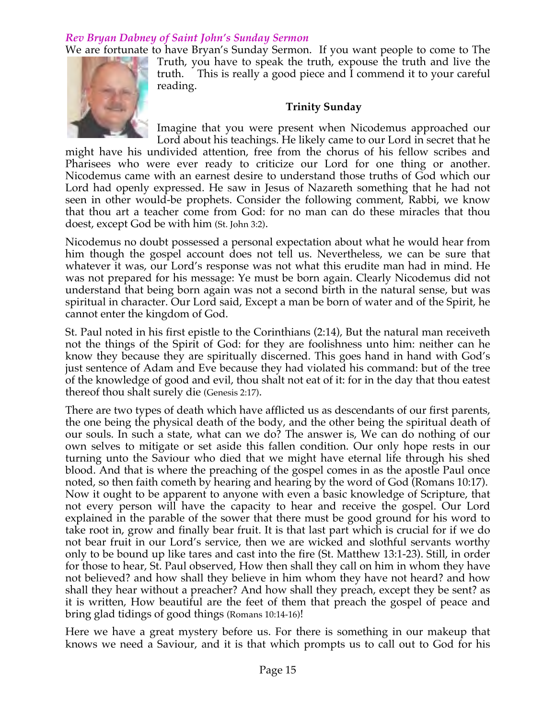# *Rev Bryan Dabney of Saint John's Sunday Sermon*

We are fortunate to have Bryan's Sunday Sermon. If you want people to come to The Truth, you have to speak the truth, expouse the truth and live the truth. This is really a good piece and I commend it to your careful reading.

### **Trinity Sunday**

Imagine that you were present when Nicodemus approached our Lord about his teachings. He likely came to our Lord in secret that he

might have his undivided attention, free from the chorus of his fellow scribes and Pharisees who were ever ready to criticize our Lord for one thing or another. Nicodemus came with an earnest desire to understand those truths of God which our Lord had openly expressed. He saw in Jesus of Nazareth something that he had not seen in other would-be prophets. Consider the following comment, Rabbi, we know that thou art a teacher come from God: for no man can do these miracles that thou doest, except God be with him (St. John 3:2).

Nicodemus no doubt possessed a personal expectation about what he would hear from him though the gospel account does not tell us. Nevertheless, we can be sure that whatever it was, our Lord's response was not what this erudite man had in mind. He was not prepared for his message: Ye must be born again. Clearly Nicodemus did not understand that being born again was not a second birth in the natural sense, but was spiritual in character. Our Lord said, Except a man be born of water and of the Spirit, he cannot enter the kingdom of God.

St. Paul noted in his first epistle to the Corinthians (2:14), But the natural man receiveth not the things of the Spirit of God: for they are foolishness unto him: neither can he know they because they are spiritually discerned. This goes hand in hand with God's just sentence of Adam and Eve because they had violated his command: but of the tree of the knowledge of good and evil, thou shalt not eat of it: for in the day that thou eatest thereof thou shalt surely die (Genesis 2:17).

There are two types of death which have afflicted us as descendants of our first parents, the one being the physical death of the body, and the other being the spiritual death of our souls. In such a state, what can we do? The answer is, We can do nothing of our own selves to mitigate or set aside this fallen condition. Our only hope rests in our turning unto the Saviour who died that we might have eternal life through his shed blood. And that is where the preaching of the gospel comes in as the apostle Paul once noted, so then faith cometh by hearing and hearing by the word of God (Romans 10:17). Now it ought to be apparent to anyone with even a basic knowledge of Scripture, that not every person will have the capacity to hear and receive the gospel. Our Lord explained in the parable of the sower that there must be good ground for his word to take root in, grow and finally bear fruit. It is that last part which is crucial for if we do not bear fruit in our Lord's service, then we are wicked and slothful servants worthy only to be bound up like tares and cast into the fire (St. Matthew 13:1-23). Still, in order for those to hear, St. Paul observed, How then shall they call on him in whom they have not believed? and how shall they believe in him whom they have not heard? and how shall they hear without a preacher? And how shall they preach, except they be sent? as it is written, How beautiful are the feet of them that preach the gospel of peace and bring glad tidings of good things (Romans 10:14-16)!

Here we have a great mystery before us. For there is something in our makeup that knows we need a Saviour, and it is that which prompts us to call out to God for his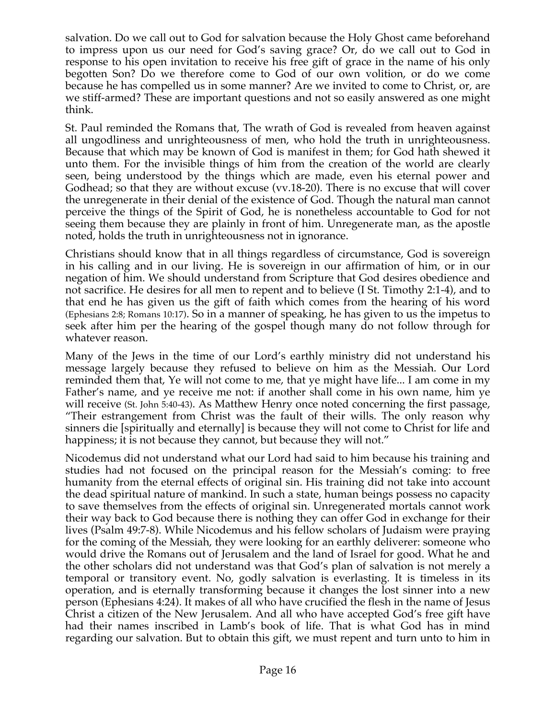salvation. Do we call out to God for salvation because the Holy Ghost came beforehand to impress upon us our need for God's saving grace? Or, do we call out to God in response to his open invitation to receive his free gift of grace in the name of his only begotten Son? Do we therefore come to God of our own volition, or do we come because he has compelled us in some manner? Are we invited to come to Christ, or, are we stiff-armed? These are important questions and not so easily answered as one might think.

St. Paul reminded the Romans that, The wrath of God is revealed from heaven against all ungodliness and unrighteousness of men, who hold the truth in unrighteousness. Because that which may be known of God is manifest in them; for God hath shewed it unto them. For the invisible things of him from the creation of the world are clearly seen, being understood by the things which are made, even his eternal power and Godhead; so that they are without excuse (vv.18-20). There is no excuse that will cover the unregenerate in their denial of the existence of God. Though the natural man cannot perceive the things of the Spirit of God, he is nonetheless accountable to God for not seeing them because they are plainly in front of him. Unregenerate man, as the apostle noted, holds the truth in unrighteousness not in ignorance.

Christians should know that in all things regardless of circumstance, God is sovereign in his calling and in our living. He is sovereign in our affirmation of him, or in our negation of him. We should understand from Scripture that God desires obedience and not sacrifice. He desires for all men to repent and to believe (I St. Timothy 2:1-4), and to that end he has given us the gift of faith which comes from the hearing of his word (Ephesians 2:8; Romans 10:17). So in a manner of speaking, he has given to us the impetus to seek after him per the hearing of the gospel though many do not follow through for whatever reason.

Many of the Jews in the time of our Lord's earthly ministry did not understand his message largely because they refused to believe on him as the Messiah. Our Lord reminded them that, Ye will not come to me, that ye might have life... I am come in my Father's name, and ye receive me not: if another shall come in his own name, him ye will receive (St. John 5:40-43). As Matthew Henry once noted concerning the first passage, "Their estrangement from Christ was the fault of their wills. The only reason why sinners die [spiritually and eternally] is because they will not come to Christ for life and happiness; it is not because they cannot, but because they will not."

Nicodemus did not understand what our Lord had said to him because his training and studies had not focused on the principal reason for the Messiah's coming: to free humanity from the eternal effects of original sin. His training did not take into account the dead spiritual nature of mankind. In such a state, human beings possess no capacity to save themselves from the effects of original sin. Unregenerated mortals cannot work their way back to God because there is nothing they can offer God in exchange for their lives (Psalm 49:7-8). While Nicodemus and his fellow scholars of Judaism were praying for the coming of the Messiah, they were looking for an earthly deliverer: someone who would drive the Romans out of Jerusalem and the land of Israel for good. What he and the other scholars did not understand was that God's plan of salvation is not merely a temporal or transitory event. No, godly salvation is everlasting. It is timeless in its operation, and is eternally transforming because it changes the lost sinner into a new person (Ephesians 4:24). It makes of all who have crucified the flesh in the name of Jesus Christ a citizen of the New Jerusalem. And all who have accepted God's free gift have had their names inscribed in Lamb's book of life. That is what God has in mind regarding our salvation. But to obtain this gift, we must repent and turn unto to him in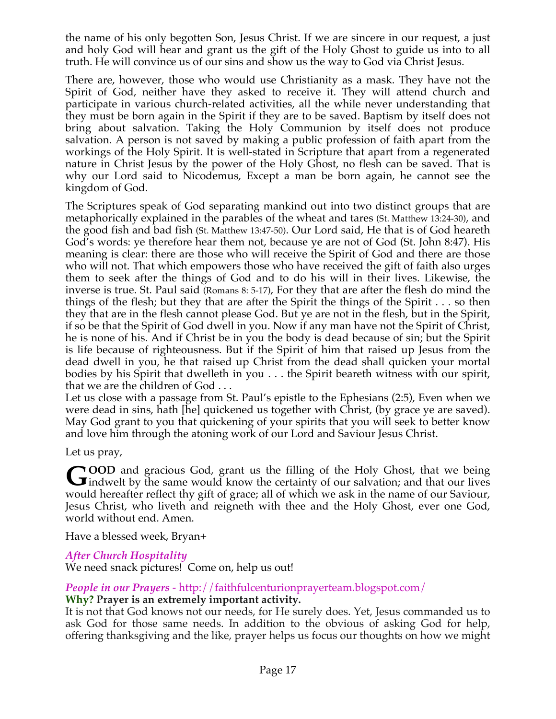the name of his only begotten Son, Jesus Christ. If we are sincere in our request, a just and holy God will hear and grant us the gift of the Holy Ghost to guide us into to all truth. He will convince us of our sins and show us the way to God via Christ Jesus.

There are, however, those who would use Christianity as a mask. They have not the Spirit of God, neither have they asked to receive it. They will attend church and participate in various church-related activities, all the while never understanding that they must be born again in the Spirit if they are to be saved. Baptism by itself does not bring about salvation. Taking the Holy Communion by itself does not produce salvation. A person is not saved by making a public profession of faith apart from the workings of the Holy Spirit. It is well-stated in Scripture that apart from a regenerated nature in Christ Jesus by the power of the Holy Ghost, no flesh can be saved. That is why our Lord said to Nicodemus, Except a man be born again, he cannot see the kingdom of God.

The Scriptures speak of God separating mankind out into two distinct groups that are metaphorically explained in the parables of the wheat and tares (St. Matthew 13:24-30), and the good fish and bad fish (St. Matthew 13:47-50). Our Lord said, He that is of God heareth God's words: ye therefore hear them not, because ye are not of God (St. John 8:47). His meaning is clear: there are those who will receive the Spirit of God and there are those who will not. That which empowers those who have received the gift of faith also urges them to seek after the things of God and to do his will in their lives. Likewise, the inverse is true. St. Paul said (Romans 8: 5-17), For they that are after the flesh do mind the things of the flesh; but they that are after the Spirit the things of the Spirit  $\dots$  so then they that are in the flesh cannot please God. But ye are not in the flesh, but in the Spirit, if so be that the Spirit of God dwell in you. Now if any man have not the Spirit of Christ, he is none of his. And if Christ be in you the body is dead because of sin; but the Spirit is life because of righteousness. But if the Spirit of him that raised up Jesus from the dead dwell in you, he that raised up Christ from the dead shall quicken your mortal bodies by his Spirit that dwelleth in you . . . the Spirit beareth witness with our spirit, that we are the children of God . . .

Let us close with a passage from St. Paul's epistle to the Ephesians (2:5), Even when we were dead in sins, hath [he] quickened us together with Christ, (by grace ye are saved). May God grant to you that quickening of your spirits that you will seek to better know and love him through the atoning work of our Lord and Saviour Jesus Christ.

Let us pray,

**OOD** and gracious God, grant us the filling of the Holy Ghost, that we being GOOD and gracious God, grant us the filling of the Holy Ghost, that we being indwelt by the same would know the certainty of our salvation; and that our lives would hereafter reflect thy gift of grace; all of which we ask in the name of our Saviour, Jesus Christ, who liveth and reigneth with thee and the Holy Ghost, ever one God, world without end. Amen.

Have a blessed week, Bryan+

# *After Church Hospitality*

We need snack pictures! Come on, help us out!

# *People in our Prayers* - http://faithfulcenturionprayerteam.blogspot.com/ **Why? Prayer is an extremely important activity.**

It is not that God knows not our needs, for He surely does. Yet, Jesus commanded us to ask God for those same needs. In addition to the obvious of asking God for help, offering thanksgiving and the like, prayer helps us focus our thoughts on how we might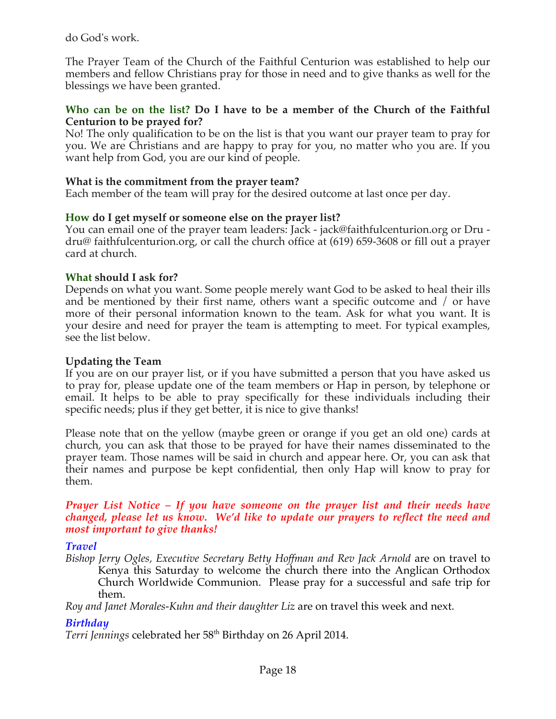do God's work.

The Prayer Team of the Church of the Faithful Centurion was established to help our members and fellow Christians pray for those in need and to give thanks as well for the blessings we have been granted.

### **Who can be on the list? Do I have to be a member of the Church of the Faithful Centurion to be prayed for?**

No! The only qualification to be on the list is that you want our prayer team to pray for you. We are Christians and are happy to pray for you, no matter who you are. If you want help from God, you are our kind of people.

### **What is the commitment from the prayer team?**

Each member of the team will pray for the desired outcome at last once per day.

### **How do I get myself or someone else on the prayer list?**

You can email one of the prayer team leaders: Jack - jack@faithfulcenturion.org or Dru dru@ faithfulcenturion.org, or call the church office at (619) 659-3608 or fill out a prayer card at church.

### **What should I ask for?**

Depends on what you want. Some people merely want God to be asked to heal their ills and be mentioned by their first name, others want a specific outcome and / or have more of their personal information known to the team. Ask for what you want. It is your desire and need for prayer the team is attempting to meet. For typical examples, see the list below.

### **Updating the Team**

If you are on our prayer list, or if you have submitted a person that you have asked us to pray for, please update one of the team members or Hap in person, by telephone or email. It helps to be able to pray specifically for these individuals including their specific needs; plus if they get better, it is nice to give thanks!

Please note that on the yellow (maybe green or orange if you get an old one) cards at church, you can ask that those to be prayed for have their names disseminated to the prayer team. Those names will be said in church and appear here. Or, you can ask that their names and purpose be kept confidential, then only Hap will know to pray for them.

#### *Prayer List Notice – If you have someone on the prayer list and their needs have changed, please let us know. We'd like to update our prayers to reflect the need and most important to give thanks!*

### *Travel*

*Bishop Jerry Ogles, Executive Secretary Betty Hoffman and Rev Jack Arnold* are on travel to Kenya this Saturday to welcome the church there into the Anglican Orthodox Church Worldwide Communion. Please pray for a successful and safe trip for them.

*Roy and Janet Morales-Kuhn and their daughter Liz* are on travel this week and next.

# *Birthday*

*Terri Jennings* celebrated her 58th Birthday on 26 April 2014.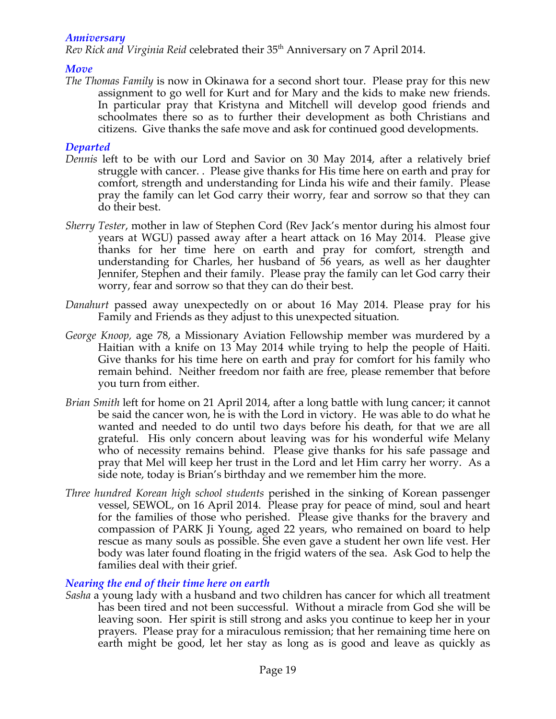### *Anniversary*

*Rev Rick and Virginia Reid* celebrated their 35<sup>th</sup> Anniversary on 7 April 2014.

### *Move*

*The Thomas Family* is now in Okinawa for a second short tour. Please pray for this new assignment to go well for Kurt and for Mary and the kids to make new friends. In particular pray that Kristyna and Mitchell will develop good friends and schoolmates there so as to further their development as both Christians and citizens. Give thanks the safe move and ask for continued good developments.

### *Departed*

- *Dennis* left to be with our Lord and Savior on 30 May 2014, after a relatively brief struggle with cancer. . Please give thanks for His time here on earth and pray for comfort, strength and understanding for Linda his wife and their family. Please pray the family can let God carry their worry, fear and sorrow so that they can do their best.
- *Sherry Tester*, mother in law of Stephen Cord (Rev Jack's mentor during his almost four years at WGU) passed away after a heart attack on 16 May 2014. Please give thanks for her time here on earth and pray for comfort, strength and understanding for Charles, her husband of 56 years, as well as her daughter Jennifer, Stephen and their family. Please pray the family can let God carry their worry, fear and sorrow so that they can do their best.
- *Danahurt* passed away unexpectedly on or about 16 May 2014. Please pray for his Family and Friends as they adjust to this unexpected situation*.*
- *George Knoop,* age 78, a Missionary Aviation Fellowship member was murdered by a Haitian with a knife on 13 May 2014 while trying to help the people of Haiti. Give thanks for his time here on earth and pray for comfort for his family who remain behind. Neither freedom nor faith are free, please remember that before you turn from either.
- *Brian Smith* left for home on 21 April 2014, after a long battle with lung cancer; it cannot be said the cancer won, he is with the Lord in victory. He was able to do what he wanted and needed to do until two days before his death, for that we are all grateful. His only concern about leaving was for his wonderful wife Melany who of necessity remains behind. Please give thanks for his safe passage and pray that Mel will keep her trust in the Lord and let Him carry her worry. As a side note, today is Brian's birthday and we remember him the more.
- *Three hundred Korean high school students* perished in the sinking of Korean passenger vessel, SEWOL, on 16 April 2014. Please pray for peace of mind, soul and heart for the families of those who perished. Please give thanks for the bravery and compassion of PARK Ji Young, aged 22 years, who remained on board to help rescue as many souls as possible. She even gave a student her own life vest. Her body was later found floating in the frigid waters of the sea. Ask God to help the families deal with their grief.

### *Nearing the end of their time here on earth*

*Sasha* a young lady with a husband and two children has cancer for which all treatment has been tired and not been successful. Without a miracle from God she will be leaving soon. Her spirit is still strong and asks you continue to keep her in your prayers. Please pray for a miraculous remission; that her remaining time here on earth might be good, let her stay as long as is good and leave as quickly as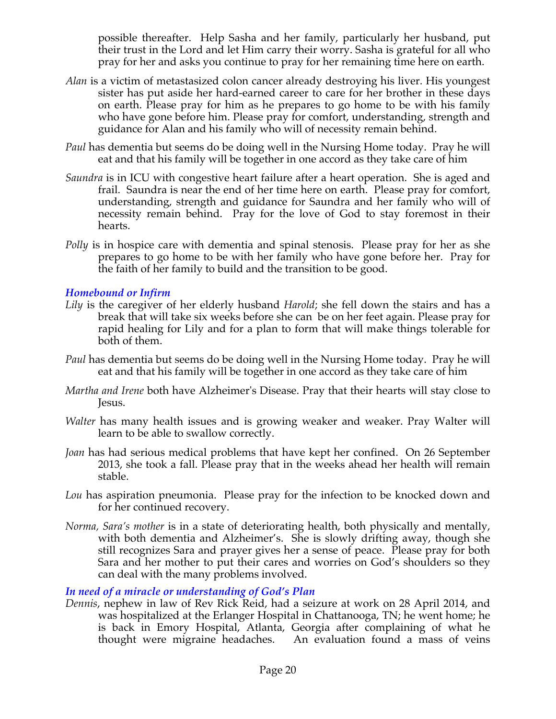possible thereafter. Help Sasha and her family, particularly her husband, put their trust in the Lord and let Him carry their worry. Sasha is grateful for all who pray for her and asks you continue to pray for her remaining time here on earth.

- *Alan* is a victim of metastasized colon cancer already destroying his liver. His youngest sister has put aside her hard-earned career to care for her brother in these days on earth. Please pray for him as he prepares to go home to be with his family who have gone before him. Please pray for comfort, understanding, strength and guidance for Alan and his family who will of necessity remain behind.
- *Paul* has dementia but seems do be doing well in the Nursing Home today. Pray he will eat and that his family will be together in one accord as they take care of him
- *Saundra* is in ICU with congestive heart failure after a heart operation. She is aged and frail. Saundra is near the end of her time here on earth. Please pray for comfort, understanding, strength and guidance for Saundra and her family who will of necessity remain behind. Pray for the love of God to stay foremost in their hearts.
- *Polly* is in hospice care with dementia and spinal stenosis. Please pray for her as she prepares to go home to be with her family who have gone before her. Pray for the faith of her family to build and the transition to be good.

### *Homebound or Infirm*

- *Lily* is the caregiver of her elderly husband *Harold*; she fell down the stairs and has a break that will take six weeks before she can be on her feet again. Please pray for rapid healing for Lily and for a plan to form that will make things tolerable for both of them.
- *Paul* has dementia but seems do be doing well in the Nursing Home today. Pray he will eat and that his family will be together in one accord as they take care of him
- *Martha and Irene* both have Alzheimer's Disease. Pray that their hearts will stay close to Jesus.
- *Walter* has many health issues and is growing weaker and weaker. Pray Walter will learn to be able to swallow correctly.
- *Joan* has had serious medical problems that have kept her confined. On 26 September 2013, she took a fall. Please pray that in the weeks ahead her health will remain stable.
- *Lou* has aspiration pneumonia. Please pray for the infection to be knocked down and for her continued recovery.
- *Norma, Sara's mother* is in a state of deteriorating health, both physically and mentally, with both dementia and Alzheimer's. She is slowly drifting away, though she still recognizes Sara and prayer gives her a sense of peace. Please pray for both Sara and her mother to put their cares and worries on God's shoulders so they can deal with the many problems involved.

### *In need of a miracle or understanding of God's Plan*

*Dennis*, nephew in law of Rev Rick Reid, had a seizure at work on 28 April 2014, and was hospitalized at the Erlanger Hospital in Chattanooga, TN; he went home; he is back in Emory Hospital, Atlanta, Georgia after complaining of what he thought were migraine headaches. An evaluation found a mass of veins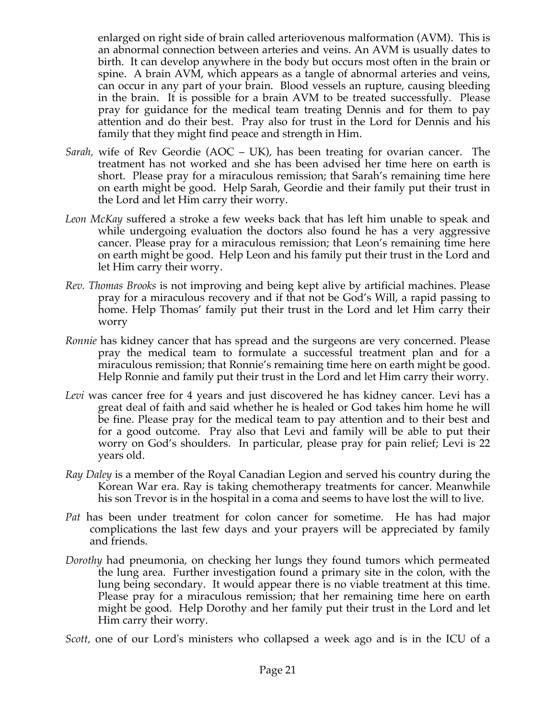enlarged on right side of brain called arteriovenous malformation (AVM). This is an abnormal connection between arteries and veins. An AVM is usually dates to birth. It can develop anywhere in the body but occurs most often in the brain or spine. A brain AVM, which appears as a tangle of abnormal arteries and veins, can occur in any part of your brain. Blood vessels an rupture, causing bleeding in the brain. It is possible for a brain AVM to be treated successfully. Please pray for guidance for the medical team treating Dennis and for them to pay attention and do their best. Pray also for trust in the Lord for Dennis and his family that they might find peace and strength in Him.

- *Sarah,* wife of Rev Geordie (AOC UK), has been treating for ovarian cancer. The treatment has not worked and she has been advised her time here on earth is short. Please pray for a miraculous remission; that Sarah's remaining time here on earth might be good. Help Sarah, Geordie and their family put their trust in the Lord and let Him carry their worry.
- *Leon McKay* suffered a stroke a few weeks back that has left him unable to speak and while undergoing evaluation the doctors also found he has a very aggressive cancer. Please pray for a miraculous remission; that Leon's remaining time here on earth might be good. Help Leon and his family put their trust in the Lord and let Him carry their worry.
- *Rev. Thomas Brooks* is not improving and being kept alive by artificial machines. Please pray for a miraculous recovery and if that not be God's Will, a rapid passing to home. Help Thomas' family put their trust in the Lord and let Him carry their worry
- *Ronnie* has kidney cancer that has spread and the surgeons are very concerned. Please pray the medical team to formulate a successful treatment plan and for a miraculous remission; that Ronnie's remaining time here on earth might be good. Help Ronnie and family put their trust in the Lord and let Him carry their worry.
- *Levi* was cancer free for 4 years and just discovered he has kidney cancer. Levi has a great deal of faith and said whether he is healed or God takes him home he will be fine. Please pray for the medical team to pay attention and to their best and for a good outcome. Pray also that Levi and family will be able to put their worry on God's shoulders. In particular, please pray for pain relief; Levi is 22 years old.
- *Ray Daley* is a member of the Royal Canadian Legion and served his country during the Korean War era. Ray is taking chemotherapy treatments for cancer. Meanwhile his son Trevor is in the hospital in a coma and seems to have lost the will to live.
- *Pat* has been under treatment for colon cancer for sometime. He has had major complications the last few days and your prayers will be appreciated by family and friends.
- *Dorothy* had pneumonia, on checking her lungs they found tumors which permeated the lung area. Further investigation found a primary site in the colon, with the lung being secondary. It would appear there is no viable treatment at this time. Please pray for a miraculous remission; that her remaining time here on earth might be good. Help Dorothy and her family put their trust in the Lord and let Him carry their worry.

*Scott,* one of our Lord's ministers who collapsed a week ago and is in the ICU of a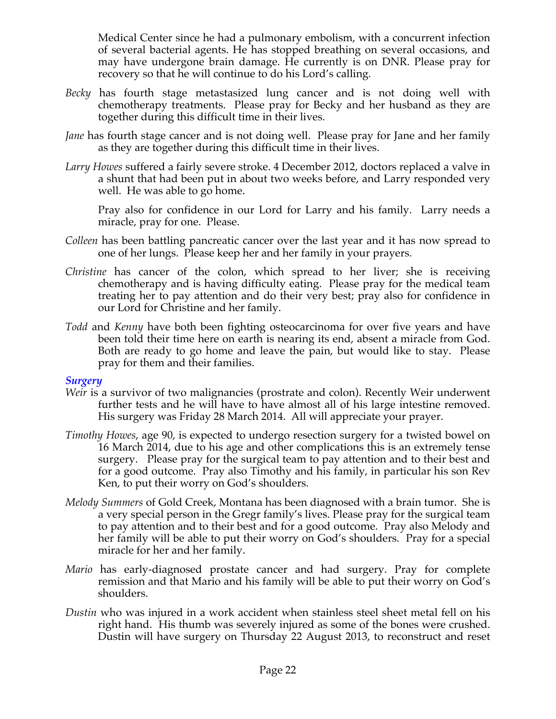Medical Center since he had a pulmonary embolism, with a concurrent infection of several bacterial agents. He has stopped breathing on several occasions, and may have undergone brain damage. He currently is on DNR. Please pray for recovery so that he will continue to do his Lord's calling*.*

- *Becky* has fourth stage metastasized lung cancer and is not doing well with chemotherapy treatments. Please pray for Becky and her husband as they are together during this difficult time in their lives.
- *Jane* has fourth stage cancer and is not doing well. Please pray for Jane and her family as they are together during this difficult time in their lives.
- *Larry Howes* suffered a fairly severe stroke. 4 December 2012, doctors replaced a valve in a shunt that had been put in about two weeks before, and Larry responded very well. He was able to go home.

Pray also for confidence in our Lord for Larry and his family. Larry needs a miracle, pray for one. Please.

- *Colleen* has been battling pancreatic cancer over the last year and it has now spread to one of her lungs. Please keep her and her family in your prayers.
- *Christine* has cancer of the colon, which spread to her liver; she is receiving chemotherapy and is having difficulty eating. Please pray for the medical team treating her to pay attention and do their very best; pray also for confidence in our Lord for Christine and her family.
- *Todd* and *Kenny* have both been fighting osteocarcinoma for over five years and have been told their time here on earth is nearing its end, absent a miracle from God. Both are ready to go home and leave the pain, but would like to stay. Please pray for them and their families.

#### *Surgery*

- *Weir* is a survivor of two malignancies (prostrate and colon). Recently Weir underwent further tests and he will have to have almost all of his large intestine removed. His surgery was Friday 28 March 2014. All will appreciate your prayer.
- *Timothy Howes*, age 90, is expected to undergo resection surgery for a twisted bowel on 16 March 2014, due to his age and other complications this is an extremely tense surgery. Please pray for the surgical team to pay attention and to their best and for a good outcome. Pray also Timothy and his family, in particular his son Rev Ken, to put their worry on God's shoulders.
- *Melody Summers* of Gold Creek, Montana has been diagnosed with a brain tumor. She is a very special person in the Gregr family's lives. Please pray for the surgical team to pay attention and to their best and for a good outcome. Pray also Melody and her family will be able to put their worry on God's shoulders. Pray for a special miracle for her and her family.
- *Mario* has early-diagnosed prostate cancer and had surgery. Pray for complete remission and that Mario and his family will be able to put their worry on God's shoulders.
- *Dustin* who was injured in a work accident when stainless steel sheet metal fell on his right hand. His thumb was severely injured as some of the bones were crushed. Dustin will have surgery on Thursday 22 August 2013, to reconstruct and reset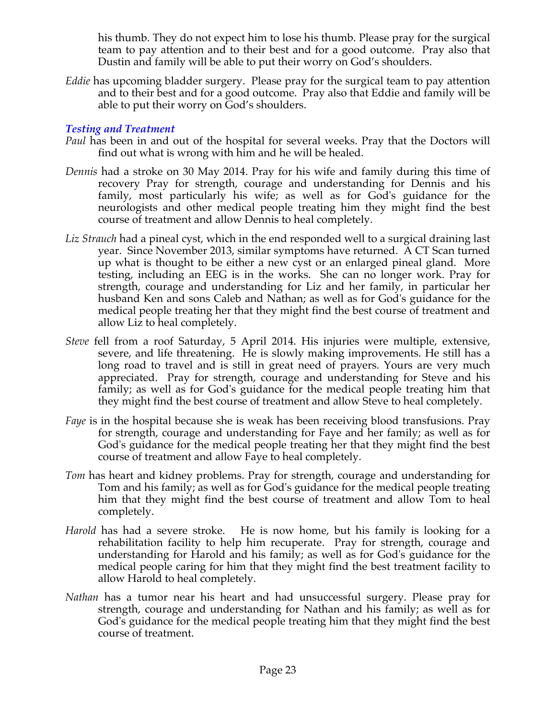his thumb. They do not expect him to lose his thumb. Please pray for the surgical team to pay attention and to their best and for a good outcome. Pray also that Dustin and family will be able to put their worry on God's shoulders.

*Eddie* has upcoming bladder surgery. Please pray for the surgical team to pay attention and to their best and for a good outcome. Pray also that Eddie and family will be able to put their worry on God's shoulders.

### *Testing and Treatment*

- *Paul* has been in and out of the hospital for several weeks. Pray that the Doctors will find out what is wrong with him and he will be healed.
- *Dennis* had a stroke on 30 May 2014. Pray for his wife and family during this time of recovery Pray for strength, courage and understanding for Dennis and his family, most particularly his wife; as well as for God's guidance for the neurologists and other medical people treating him they might find the best course of treatment and allow Dennis to heal completely.
- *Liz Strauch* had a pineal cyst, which in the end responded well to a surgical draining last year. Since November 2013, similar symptoms have returned. A CT Scan turned up what is thought to be either a new cyst or an enlarged pineal gland. More testing, including an EEG is in the works. She can no longer work. Pray for strength, courage and understanding for Liz and her family, in particular her husband Ken and sons Caleb and Nathan; as well as for God's guidance for the medical people treating her that they might find the best course of treatment and allow Liz to heal completely.
- *Steve* fell from a roof Saturday, 5 April 2014. His injuries were multiple, extensive, severe, and life threatening. He is slowly making improvements. He still has a long road to travel and is still in great need of prayers. Yours are very much appreciated. Pray for strength, courage and understanding for Steve and his family; as well as for God's guidance for the medical people treating him that they might find the best course of treatment and allow Steve to heal completely.
- *Faye* is in the hospital because she is weak has been receiving blood transfusions. Pray for strength, courage and understanding for Faye and her family; as well as for God's guidance for the medical people treating her that they might find the best course of treatment and allow Faye to heal completely.
- *Tom* has heart and kidney problems. Pray for strength, courage and understanding for Tom and his family; as well as for God's guidance for the medical people treating him that they might find the best course of treatment and allow Tom to heal completely.
- *Harold* has had a severe stroke. He is now home, but his family is looking for a rehabilitation facility to help him recuperate. Pray for strength, courage and understanding for Harold and his family; as well as for God's guidance for the medical people caring for him that they might find the best treatment facility to allow Harold to heal completely.
- *Nathan* has a tumor near his heart and had unsuccessful surgery. Please pray for strength, courage and understanding for Nathan and his family; as well as for God's guidance for the medical people treating him that they might find the best course of treatment.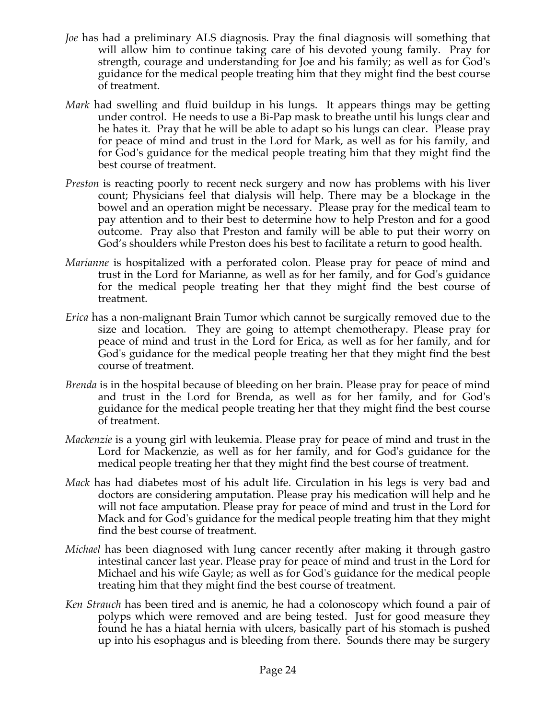- *Joe* has had a preliminary ALS diagnosis. Pray the final diagnosis will something that will allow him to continue taking care of his devoted young family. Pray for strength, courage and understanding for Joe and his family; as well as for God's guidance for the medical people treating him that they might find the best course of treatment.
- *Mark* had swelling and fluid buildup in his lungs. It appears things may be getting under control. He needs to use a Bi-Pap mask to breathe until his lungs clear and he hates it. Pray that he will be able to adapt so his lungs can clear. Please pray for peace of mind and trust in the Lord for Mark, as well as for his family, and for God's guidance for the medical people treating him that they might find the best course of treatment.
- *Preston* is reacting poorly to recent neck surgery and now has problems with his liver count; Physicians feel that dialysis will help. There may be a blockage in the bowel and an operation might be necessary. Please pray for the medical team to pay attention and to their best to determine how to help Preston and for a good outcome. Pray also that Preston and family will be able to put their worry on God's shoulders while Preston does his best to facilitate a return to good health.
- *Marianne* is hospitalized with a perforated colon. Please pray for peace of mind and trust in the Lord for Marianne, as well as for her family, and for God's guidance for the medical people treating her that they might find the best course of treatment.
- *Erica* has a non-malignant Brain Tumor which cannot be surgically removed due to the size and location. They are going to attempt chemotherapy. Please pray for peace of mind and trust in the Lord for Erica, as well as for her family, and for God's guidance for the medical people treating her that they might find the best course of treatment.
- *Brenda* is in the hospital because of bleeding on her brain. Please pray for peace of mind and trust in the Lord for Brenda, as well as for her family, and for God's guidance for the medical people treating her that they might find the best course of treatment.
- *Mackenzie* is a young girl with leukemia. Please pray for peace of mind and trust in the Lord for Mackenzie, as well as for her family, and for God's guidance for the medical people treating her that they might find the best course of treatment.
- *Mack* has had diabetes most of his adult life. Circulation in his legs is very bad and doctors are considering amputation. Please pray his medication will help and he will not face amputation. Please pray for peace of mind and trust in the Lord for Mack and for God's guidance for the medical people treating him that they might find the best course of treatment.
- *Michael* has been diagnosed with lung cancer recently after making it through gastro intestinal cancer last year. Please pray for peace of mind and trust in the Lord for Michael and his wife Gayle; as well as for God's guidance for the medical people treating him that they might find the best course of treatment.
- *Ken Strauch* has been tired and is anemic, he had a colonoscopy which found a pair of polyps which were removed and are being tested. Just for good measure they found he has a hiatal hernia with ulcers, basically part of his stomach is pushed up into his esophagus and is bleeding from there. Sounds there may be surgery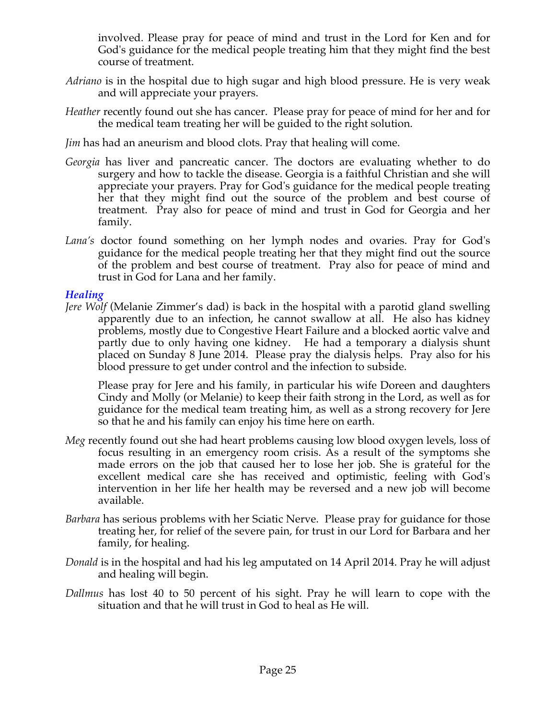involved. Please pray for peace of mind and trust in the Lord for Ken and for God's guidance for the medical people treating him that they might find the best course of treatment.

- *Adriano* is in the hospital due to high sugar and high blood pressure. He is very weak and will appreciate your prayers.
- *Heather* recently found out she has cancer. Please pray for peace of mind for her and for the medical team treating her will be guided to the right solution.
- *Jim* has had an aneurism and blood clots. Pray that healing will come.
- *Georgia* has liver and pancreatic cancer. The doctors are evaluating whether to do surgery and how to tackle the disease. Georgia is a faithful Christian and she will appreciate your prayers. Pray for God's guidance for the medical people treating her that they might find out the source of the problem and best course of treatment. Pray also for peace of mind and trust in God for Georgia and her family.
- *Lana's* doctor found something on her lymph nodes and ovaries. Pray for God's guidance for the medical people treating her that they might find out the source of the problem and best course of treatment. Pray also for peace of mind and trust in God for Lana and her family.

### *Healing*

*Jere Wolf* (Melanie Zimmer's dad) is back in the hospital with a parotid gland swelling apparently due to an infection, he cannot swallow at all. He also has kidney problems, mostly due to Congestive Heart Failure and a blocked aortic valve and partly due to only having one kidney. He had a temporary a dialysis shunt placed on Sunday 8 June 2014. Please pray the dialysis helps. Pray also for his blood pressure to get under control and the infection to subside.

Please pray for Jere and his family, in particular his wife Doreen and daughters Cindy and Molly (or Melanie) to keep their faith strong in the Lord, as well as for guidance for the medical team treating him, as well as a strong recovery for Jere so that he and his family can enjoy his time here on earth.

- *Meg* recently found out she had heart problems causing low blood oxygen levels, loss of focus resulting in an emergency room crisis. As a result of the symptoms she made errors on the job that caused her to lose her job. She is grateful for the excellent medical care she has received and optimistic, feeling with God's intervention in her life her health may be reversed and a new job will become available.
- *Barbara* has serious problems with her Sciatic Nerve. Please pray for guidance for those treating her, for relief of the severe pain, for trust in our Lord for Barbara and her family, for healing.
- *Donald* is in the hospital and had his leg amputated on 14 April 2014. Pray he will adjust and healing will begin.
- *Dallmus* has lost 40 to 50 percent of his sight. Pray he will learn to cope with the situation and that he will trust in God to heal as He will.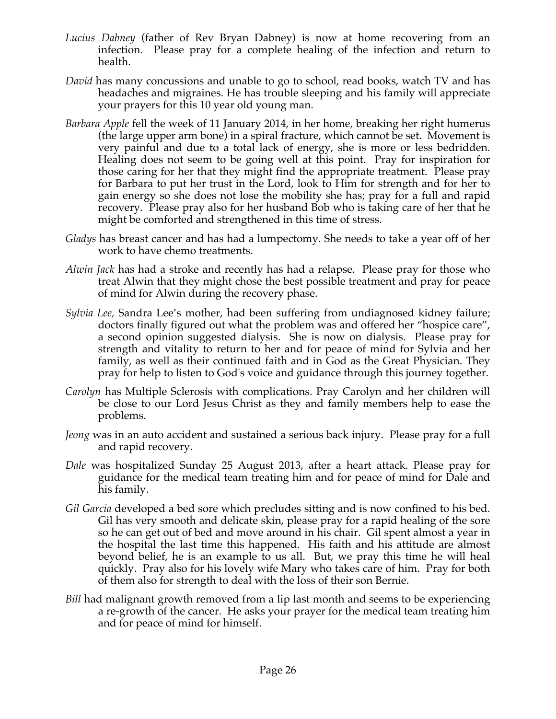- *Lucius Dabney* (father of Rev Bryan Dabney) is now at home recovering from an infection. Please pray for a complete healing of the infection and return to health.
- *David* has many concussions and unable to go to school, read books, watch TV and has headaches and migraines. He has trouble sleeping and his family will appreciate your prayers for this 10 year old young man.
- *Barbara Apple* fell the week of 11 January 2014, in her home, breaking her right humerus (the large upper arm bone) in a spiral fracture, which cannot be set. Movement is very painful and due to a total lack of energy, she is more or less bedridden. Healing does not seem to be going well at this point. Pray for inspiration for those caring for her that they might find the appropriate treatment. Please pray for Barbara to put her trust in the Lord, look to Him for strength and for her to gain energy so she does not lose the mobility she has; pray for a full and rapid recovery. Please pray also for her husband Bob who is taking care of her that he might be comforted and strengthened in this time of stress.
- *Gladys* has breast cancer and has had a lumpectomy. She needs to take a year off of her work to have chemo treatments.
- *Alwin Jack* has had a stroke and recently has had a relapse. Please pray for those who treat Alwin that they might chose the best possible treatment and pray for peace of mind for Alwin during the recovery phase.
- *Sylvia Lee,* Sandra Lee's mother, had been suffering from undiagnosed kidney failure; doctors finally figured out what the problem was and offered her "hospice care", a second opinion suggested dialysis. She is now on dialysis. Please pray for strength and vitality to return to her and for peace of mind for Sylvia and her family, as well as their continued faith and in God as the Great Physician. They pray for help to listen to God's voice and guidance through this journey together.
- *Carolyn* has Multiple Sclerosis with complications. Pray Carolyn and her children will be close to our Lord Jesus Christ as they and family members help to ease the problems.
- *Jeong* was in an auto accident and sustained a serious back injury. Please pray for a full and rapid recovery.
- *Dale* was hospitalized Sunday 25 August 2013, after a heart attack. Please pray for guidance for the medical team treating him and for peace of mind for Dale and his family.
- *Gil Garcia* developed a bed sore which precludes sitting and is now confined to his bed. Gil has very smooth and delicate skin, please pray for a rapid healing of the sore so he can get out of bed and move around in his chair. Gil spent almost a year in the hospital the last time this happened. His faith and his attitude are almost beyond belief, he is an example to us all. But, we pray this time he will heal quickly. Pray also for his lovely wife Mary who takes care of him. Pray for both of them also for strength to deal with the loss of their son Bernie.
- *Bill* had malignant growth removed from a lip last month and seems to be experiencing a re-growth of the cancer. He asks your prayer for the medical team treating him and for peace of mind for himself.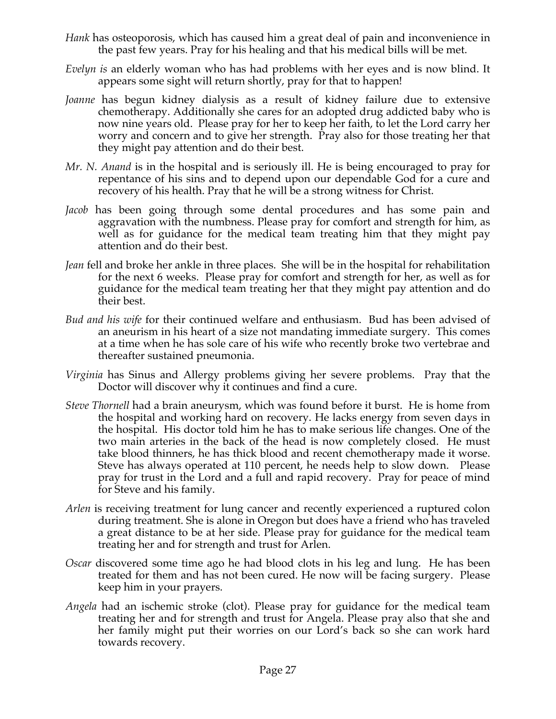- *Hank* has osteoporosis, which has caused him a great deal of pain and inconvenience in the past few years. Pray for his healing and that his medical bills will be met.
- *Evelyn is* an elderly woman who has had problems with her eyes and is now blind. It appears some sight will return shortly, pray for that to happen!
- *Joanne* has begun kidney dialysis as a result of kidney failure due to extensive chemotherapy. Additionally she cares for an adopted drug addicted baby who is now nine years old. Please pray for her to keep her faith, to let the Lord carry her worry and concern and to give her strength. Pray also for those treating her that they might pay attention and do their best.
- *Mr. N. Anand* is in the hospital and is seriously ill. He is being encouraged to pray for repentance of his sins and to depend upon our dependable God for a cure and recovery of his health. Pray that he will be a strong witness for Christ.
- *Jacob* has been going through some dental procedures and has some pain and aggravation with the numbness. Please pray for comfort and strength for him, as well as for guidance for the medical team treating him that they might pay attention and do their best.
- *Jean* fell and broke her ankle in three places. She will be in the hospital for rehabilitation for the next 6 weeks. Please pray for comfort and strength for her, as well as for guidance for the medical team treating her that they might pay attention and do their best.
- *Bud and his wife* for their continued welfare and enthusiasm. Bud has been advised of an aneurism in his heart of a size not mandating immediate surgery. This comes at a time when he has sole care of his wife who recently broke two vertebrae and thereafter sustained pneumonia.
- *Virginia* has Sinus and Allergy problems giving her severe problems. Pray that the Doctor will discover why it continues and find a cure.
- *Steve Thornell* had a brain aneurysm, which was found before it burst. He is home from the hospital and working hard on recovery. He lacks energy from seven days in the hospital. His doctor told him he has to make serious life changes. One of the two main arteries in the back of the head is now completely closed. He must take blood thinners, he has thick blood and recent chemotherapy made it worse. Steve has always operated at 110 percent, he needs help to slow down. Please pray for trust in the Lord and a full and rapid recovery. Pray for peace of mind for Steve and his family.
- *Arlen* is receiving treatment for lung cancer and recently experienced a ruptured colon during treatment. She is alone in Oregon but does have a friend who has traveled a great distance to be at her side. Please pray for guidance for the medical team treating her and for strength and trust for Arlen.
- *Oscar* discovered some time ago he had blood clots in his leg and lung. He has been treated for them and has not been cured. He now will be facing surgery. Please keep him in your prayers.
- *Angela* had an ischemic stroke (clot). Please pray for guidance for the medical team treating her and for strength and trust for Angela. Please pray also that she and her family might put their worries on our Lord's back so she can work hard towards recovery.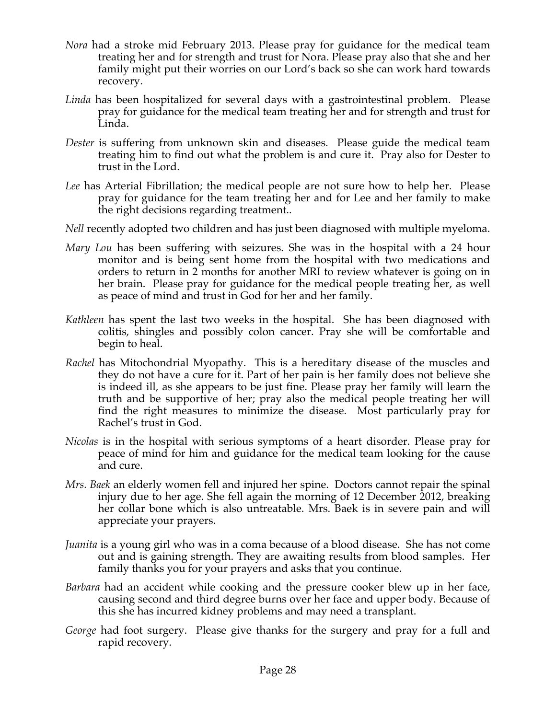- *Nora* had a stroke mid February 2013. Please pray for guidance for the medical team treating her and for strength and trust for Nora. Please pray also that she and her family might put their worries on our Lord's back so she can work hard towards recovery.
- *Linda* has been hospitalized for several days with a gastrointestinal problem. Please pray for guidance for the medical team treating her and for strength and trust for Linda.
- *Dester* is suffering from unknown skin and diseases. Please guide the medical team treating him to find out what the problem is and cure it. Pray also for Dester to trust in the Lord.
- *Lee* has Arterial Fibrillation; the medical people are not sure how to help her. Please pray for guidance for the team treating her and for Lee and her family to make the right decisions regarding treatment..
- *Nell* recently adopted two children and has just been diagnosed with multiple myeloma.
- *Mary Lou* has been suffering with seizures. She was in the hospital with a 24 hour monitor and is being sent home from the hospital with two medications and orders to return in 2 months for another MRI to review whatever is going on in her brain. Please pray for guidance for the medical people treating her, as well as peace of mind and trust in God for her and her family.
- *Kathleen* has spent the last two weeks in the hospital. She has been diagnosed with colitis, shingles and possibly colon cancer. Pray she will be comfortable and begin to heal.
- *Rachel* has Mitochondrial Myopathy. This is a hereditary disease of the muscles and they do not have a cure for it. Part of her pain is her family does not believe she is indeed ill, as she appears to be just fine. Please pray her family will learn the truth and be supportive of her; pray also the medical people treating her will find the right measures to minimize the disease. Most particularly pray for Rachel's trust in God.
- *Nicolas* is in the hospital with serious symptoms of a heart disorder. Please pray for peace of mind for him and guidance for the medical team looking for the cause and cure.
- *Mrs. Baek* an elderly women fell and injured her spine. Doctors cannot repair the spinal injury due to her age. She fell again the morning of 12 December 2012, breaking her collar bone which is also untreatable. Mrs. Baek is in severe pain and will appreciate your prayers.
- *Juanita* is a young girl who was in a coma because of a blood disease. She has not come out and is gaining strength. They are awaiting results from blood samples. Her family thanks you for your prayers and asks that you continue.
- *Barbara* had an accident while cooking and the pressure cooker blew up in her face, causing second and third degree burns over her face and upper body. Because of this she has incurred kidney problems and may need a transplant.
- *George* had foot surgery. Please give thanks for the surgery and pray for a full and rapid recovery.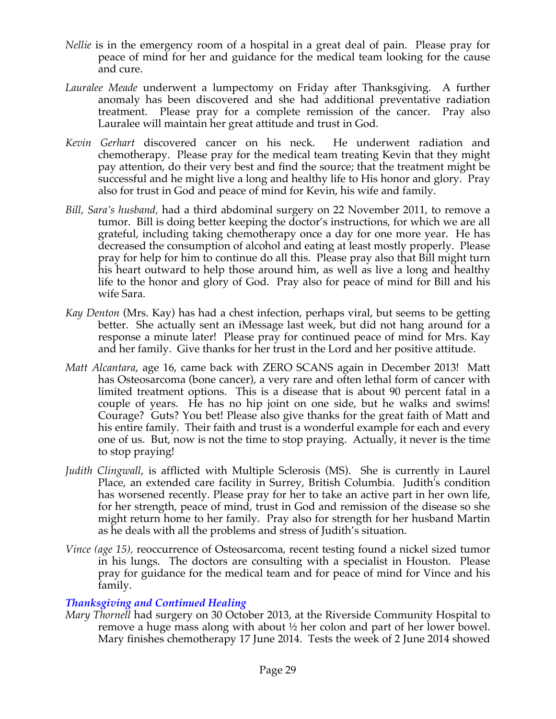- *Nellie* is in the emergency room of a hospital in a great deal of pain. Please pray for peace of mind for her and guidance for the medical team looking for the cause and cure.
- *Lauralee Meade* underwent a lumpectomy on Friday after Thanksgiving. A further anomaly has been discovered and she had additional preventative radiation treatment. Please pray for a complete remission of the cancer. Pray also Lauralee will maintain her great attitude and trust in God.
- *Kevin Gerhart* discovered cancer on his neck. He underwent radiation and chemotherapy. Please pray for the medical team treating Kevin that they might pay attention, do their very best and find the source; that the treatment might be successful and he might live a long and healthy life to His honor and glory. Pray also for trust in God and peace of mind for Kevin, his wife and family.
- *Bill, Sara's husband,* had a third abdominal surgery on 22 November 2011, to remove a tumor. Bill is doing better keeping the doctor's instructions, for which we are all grateful, including taking chemotherapy once a day for one more year. He has decreased the consumption of alcohol and eating at least mostly properly. Please pray for help for him to continue do all this. Please pray also that Bill might turn his heart outward to help those around him, as well as live a long and healthy life to the honor and glory of God. Pray also for peace of mind for Bill and his wife Sara.
- *Kay Denton* (Mrs. Kay) has had a chest infection, perhaps viral, but seems to be getting better. She actually sent an iMessage last week, but did not hang around for a response a minute later! Please pray for continued peace of mind for Mrs. Kay and her family. Give thanks for her trust in the Lord and her positive attitude.
- *Matt Alcantara*, age 16, came back with ZERO SCANS again in December 2013! Matt has Osteosarcoma (bone cancer), a very rare and often lethal form of cancer with limited treatment options. This is a disease that is about 90 percent fatal in a couple of years. He has no hip joint on one side, but he walks and swims! Courage? Guts? You bet! Please also give thanks for the great faith of Matt and his entire family. Their faith and trust is a wonderful example for each and every one of us. But, now is not the time to stop praying. Actually, it never is the time to stop praying!
- *Judith Clingwall*, is afflicted with Multiple Sclerosis (MS). She is currently in Laurel Place, an extended care facility in Surrey, British Columbia. Judith's condition has worsened recently. Please pray for her to take an active part in her own life, for her strength, peace of mind, trust in God and remission of the disease so she might return home to her family. Pray also for strength for her husband Martin as he deals with all the problems and stress of Judith's situation.
- *Vince (age 15),* reoccurrence of Osteosarcoma, recent testing found a nickel sized tumor in his lungs. The doctors are consulting with a specialist in Houston. Please pray for guidance for the medical team and for peace of mind for Vince and his family.

### *Thanksgiving and Continued Healing*

*Mary Thornell* had surgery on 30 October 2013, at the Riverside Community Hospital to remove a huge mass along with about ½ her colon and part of her lower bowel. Mary finishes chemotherapy 17 June 2014. Tests the week of 2 June 2014 showed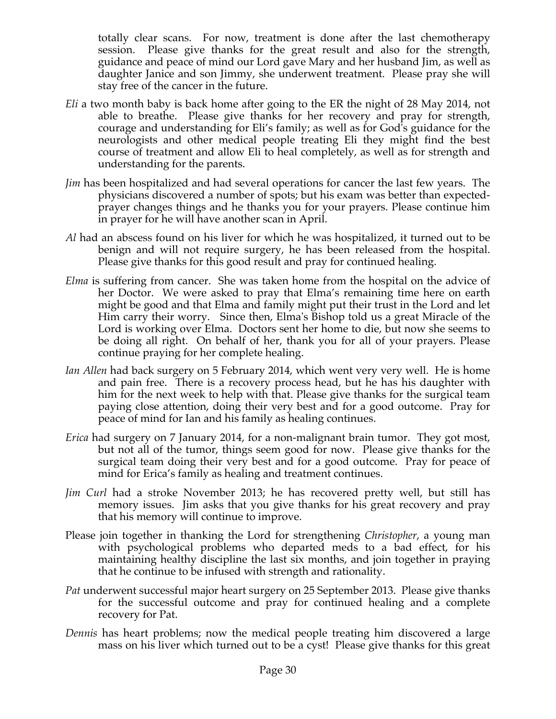totally clear scans. For now, treatment is done after the last chemotherapy session. Please give thanks for the great result and also for the strength, guidance and peace of mind our Lord gave Mary and her husband Jim, as well as daughter Janice and son Jimmy, she underwent treatment. Please pray she will stay free of the cancer in the future.

- *Eli* a two month baby is back home after going to the ER the night of 28 May 2014, not able to breathe. Please give thanks for her recovery and pray for strength, courage and understanding for Eli's family; as well as for God's guidance for the neurologists and other medical people treating Eli they might find the best course of treatment and allow Eli to heal completely, as well as for strength and understanding for the parents.
- *Jim* has been hospitalized and had several operations for cancer the last few years. The physicians discovered a number of spots; but his exam was better than expectedprayer changes things and he thanks you for your prayers. Please continue him in prayer for he will have another scan in April.
- *Al* had an abscess found on his liver for which he was hospitalized, it turned out to be benign and will not require surgery, he has been released from the hospital. Please give thanks for this good result and pray for continued healing.
- *Elma* is suffering from cancer. She was taken home from the hospital on the advice of her Doctor. We were asked to pray that Elma's remaining time here on earth might be good and that Elma and family might put their trust in the Lord and let Him carry their worry. Since then, Elma's Bishop told us a great Miracle of the Lord is working over Elma. Doctors sent her home to die, but now she seems to be doing all right. On behalf of her, thank you for all of your prayers. Please continue praying for her complete healing.
- *Ian Allen* had back surgery on 5 February 2014, which went very very well. He is home and pain free. There is a recovery process head, but he has his daughter with him for the next week to help with that. Please give thanks for the surgical team paying close attention, doing their very best and for a good outcome. Pray for peace of mind for Ian and his family as healing continues.
- *Erica* had surgery on 7 January 2014, for a non-malignant brain tumor. They got most, but not all of the tumor, things seem good for now. Please give thanks for the surgical team doing their very best and for a good outcome. Pray for peace of mind for Erica's family as healing and treatment continues.
- *Jim Curl* had a stroke November 2013; he has recovered pretty well, but still has memory issues. Jim asks that you give thanks for his great recovery and pray that his memory will continue to improve.
- Please join together in thanking the Lord for strengthening *Christopher*, a young man with psychological problems who departed meds to a bad effect, for his maintaining healthy discipline the last six months, and join together in praying that he continue to be infused with strength and rationality.
- *Pat* underwent successful major heart surgery on 25 September 2013. Please give thanks for the successful outcome and pray for continued healing and a complete recovery for Pat.
- *Dennis* has heart problems; now the medical people treating him discovered a large mass on his liver which turned out to be a cyst! Please give thanks for this great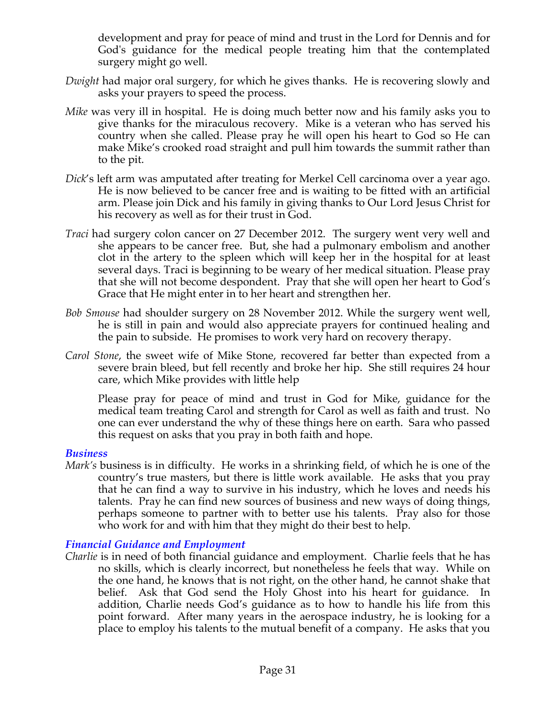development and pray for peace of mind and trust in the Lord for Dennis and for God's guidance for the medical people treating him that the contemplated surgery might go well.

- *Dwight* had major oral surgery, for which he gives thanks. He is recovering slowly and asks your prayers to speed the process.
- *Mike* was very ill in hospital. He is doing much better now and his family asks you to give thanks for the miraculous recovery. Mike is a veteran who has served his country when she called. Please pray he will open his heart to God so He can make Mike's crooked road straight and pull him towards the summit rather than to the pit.
- *Dick*'s left arm was amputated after treating for Merkel Cell carcinoma over a year ago. He is now believed to be cancer free and is waiting to be fitted with an artificial arm. Please join Dick and his family in giving thanks to Our Lord Jesus Christ for his recovery as well as for their trust in God.
- *Traci* had surgery colon cancer on 27 December 2012. The surgery went very well and she appears to be cancer free. But, she had a pulmonary embolism and another clot in the artery to the spleen which will keep her in the hospital for at least several days. Traci is beginning to be weary of her medical situation. Please pray that she will not become despondent. Pray that she will open her heart to God's Grace that He might enter in to her heart and strengthen her.
- *Bob Smouse* had shoulder surgery on 28 November 2012. While the surgery went well, he is still in pain and would also appreciate prayers for continued healing and the pain to subside. He promises to work very hard on recovery therapy.
- *Carol Stone*, the sweet wife of Mike Stone, recovered far better than expected from a severe brain bleed, but fell recently and broke her hip. She still requires 24 hour care, which Mike provides with little help

Please pray for peace of mind and trust in God for Mike, guidance for the medical team treating Carol and strength for Carol as well as faith and trust. No one can ever understand the why of these things here on earth. Sara who passed this request on asks that you pray in both faith and hope.

#### *Business*

*Mark's* business is in difficulty. He works in a shrinking field, of which he is one of the country's true masters, but there is little work available. He asks that you pray that he can find a way to survive in his industry, which he loves and needs his talents. Pray he can find new sources of business and new ways of doing things, perhaps someone to partner with to better use his talents. Pray also for those who work for and with him that they might do their best to help.

### *Financial Guidance and Employment*

*Charlie* is in need of both financial guidance and employment. Charlie feels that he has no skills, which is clearly incorrect, but nonetheless he feels that way. While on the one hand, he knows that is not right, on the other hand, he cannot shake that belief. Ask that God send the Holy Ghost into his heart for guidance. In addition, Charlie needs God's guidance as to how to handle his life from this point forward. After many years in the aerospace industry, he is looking for a place to employ his talents to the mutual benefit of a company. He asks that you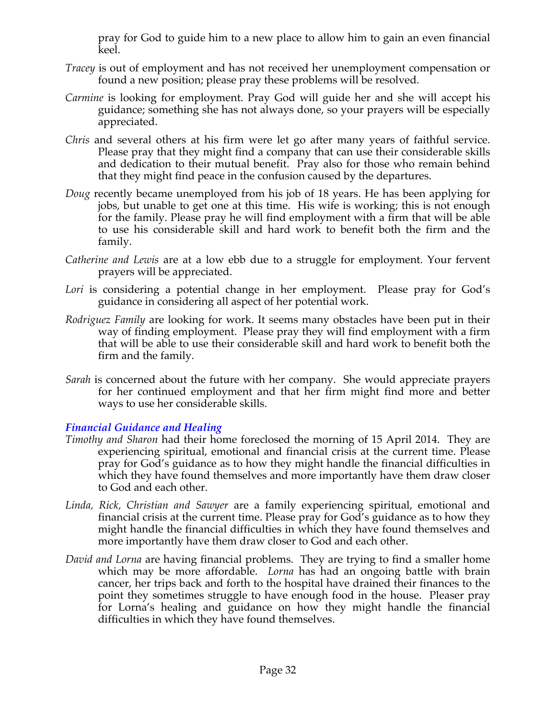pray for God to guide him to a new place to allow him to gain an even financial keel.

- *Tracey* is out of employment and has not received her unemployment compensation or found a new position; please pray these problems will be resolved.
- *Carmine* is looking for employment. Pray God will guide her and she will accept his guidance; something she has not always done, so your prayers will be especially appreciated.
- *Chris* and several others at his firm were let go after many years of faithful service. Please pray that they might find a company that can use their considerable skills and dedication to their mutual benefit. Pray also for those who remain behind that they might find peace in the confusion caused by the departures.
- *Doug* recently became unemployed from his job of 18 years. He has been applying for jobs, but unable to get one at this time. His wife is working; this is not enough for the family. Please pray he will find employment with a firm that will be able to use his considerable skill and hard work to benefit both the firm and the family.
- *Catherine and Lewis* are at a low ebb due to a struggle for employment. Your fervent prayers will be appreciated.
- *Lori* is considering a potential change in her employment. Please pray for God's guidance in considering all aspect of her potential work.
- *Rodriguez Family* are looking for work. It seems many obstacles have been put in their way of finding employment. Please pray they will find employment with a firm that will be able to use their considerable skill and hard work to benefit both the firm and the family.
- *Sarah* is concerned about the future with her company. She would appreciate prayers for her continued employment and that her firm might find more and better ways to use her considerable skills.

# *Financial Guidance and Healing*

- *Timothy and Sharon* had their home foreclosed the morning of 15 April 2014. They are experiencing spiritual, emotional and financial crisis at the current time. Please pray for God's guidance as to how they might handle the financial difficulties in which they have found themselves and more importantly have them draw closer to God and each other.
- *Linda, Rick, Christian and Sawyer* are a family experiencing spiritual, emotional and financial crisis at the current time. Please pray for God's guidance as to how they might handle the financial difficulties in which they have found themselves and more importantly have them draw closer to God and each other.
- *David and Lorna* are having financial problems. They are trying to find a smaller home which may be more affordable. *Lorna* has had an ongoing battle with brain cancer, her trips back and forth to the hospital have drained their finances to the point they sometimes struggle to have enough food in the house. Pleaser pray for Lorna's healing and guidance on how they might handle the financial difficulties in which they have found themselves.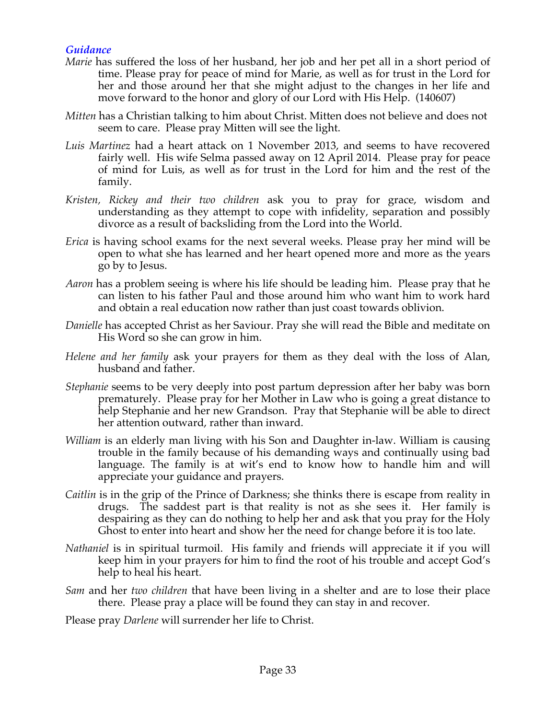### *Guidance*

- *Marie* has suffered the loss of her husband, her job and her pet all in a short period of time. Please pray for peace of mind for Marie, as well as for trust in the Lord for her and those around her that she might adjust to the changes in her life and move forward to the honor and glory of our Lord with His Help. (140607)
- *Mitten* has a Christian talking to him about Christ. Mitten does not believe and does not seem to care. Please pray Mitten will see the light.
- *Luis Martinez* had a heart attack on 1 November 2013, and seems to have recovered fairly well. His wife Selma passed away on 12 April 2014. Please pray for peace of mind for Luis, as well as for trust in the Lord for him and the rest of the family.
- *Kristen, Rickey and their two children* ask you to pray for grace, wisdom and understanding as they attempt to cope with infidelity, separation and possibly divorce as a result of backsliding from the Lord into the World.
- *Erica* is having school exams for the next several weeks. Please pray her mind will be open to what she has learned and her heart opened more and more as the years go by to Jesus.
- *Aaron* has a problem seeing is where his life should be leading him. Please pray that he can listen to his father Paul and those around him who want him to work hard and obtain a real education now rather than just coast towards oblivion.
- *Danielle* has accepted Christ as her Saviour. Pray she will read the Bible and meditate on His Word so she can grow in him.
- *Helene and her family* ask your prayers for them as they deal with the loss of Alan, husband and father.
- *Stephanie* seems to be very deeply into post partum depression after her baby was born prematurely. Please pray for her Mother in Law who is going a great distance to help Stephanie and her new Grandson. Pray that Stephanie will be able to direct her attention outward, rather than inward.
- *William* is an elderly man living with his Son and Daughter in-law. William is causing trouble in the family because of his demanding ways and continually using bad language. The family is at wit's end to know how to handle him and will appreciate your guidance and prayers.
- *Caitlin* is in the grip of the Prince of Darkness; she thinks there is escape from reality in drugs. The saddest part is that reality is not as she sees it. Her family is despairing as they can do nothing to help her and ask that you pray for the Holy Ghost to enter into heart and show her the need for change before it is too late.
- *Nathaniel* is in spiritual turmoil. His family and friends will appreciate it if you will keep him in your prayers for him to find the root of his trouble and accept God's help to heal his heart.
- *Sam* and her *two children* that have been living in a shelter and are to lose their place there. Please pray a place will be found they can stay in and recover.
- Please pray *Darlene* will surrender her life to Christ.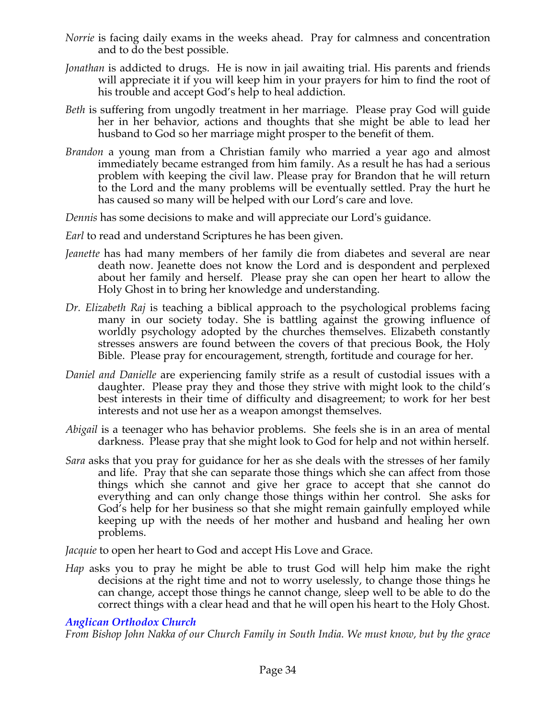- *Norrie* is facing daily exams in the weeks ahead. Pray for calmness and concentration and to do the best possible.
- *Jonathan* is addicted to drugs. He is now in jail awaiting trial. His parents and friends will appreciate it if you will keep him in your prayers for him to find the root of his trouble and accept God's help to heal addiction.
- *Beth* is suffering from ungodly treatment in her marriage. Please pray God will guide her in her behavior, actions and thoughts that she might be able to lead her husband to God so her marriage might prosper to the benefit of them.
- *Brandon* a young man from a Christian family who married a year ago and almost immediately became estranged from him family. As a result he has had a serious problem with keeping the civil law. Please pray for Brandon that he will return to the Lord and the many problems will be eventually settled. Pray the hurt he has caused so many will be helped with our Lord's care and love.

*Dennis* has some decisions to make and will appreciate our Lord's guidance.

- *Earl* to read and understand Scriptures he has been given.
- *Jeanette* has had many members of her family die from diabetes and several are near death now. Jeanette does not know the Lord and is despondent and perplexed about her family and herself. Please pray she can open her heart to allow the Holy Ghost in to bring her knowledge and understanding.
- *Dr. Elizabeth Raj* is teaching a biblical approach to the psychological problems facing many in our society today. She is battling against the growing influence of worldly psychology adopted by the churches themselves. Elizabeth constantly stresses answers are found between the covers of that precious Book, the Holy Bible. Please pray for encouragement, strength, fortitude and courage for her.
- *Daniel and Danielle* are experiencing family strife as a result of custodial issues with a daughter. Please pray they and those they strive with might look to the child's best interests in their time of difficulty and disagreement; to work for her best interests and not use her as a weapon amongst themselves.
- *Abigail* is a teenager who has behavior problems. She feels she is in an area of mental darkness. Please pray that she might look to God for help and not within herself.
- *Sara* asks that you pray for guidance for her as she deals with the stresses of her family and life. Pray that she can separate those things which she can affect from those things which she cannot and give her grace to accept that she cannot do everything and can only change those things within her control. She asks for God's help for her business so that she might remain gainfully employed while keeping up with the needs of her mother and husband and healing her own problems.

*Jacquie* to open her heart to God and accept His Love and Grace.

*Hap* asks you to pray he might be able to trust God will help him make the right decisions at the right time and not to worry uselessly, to change those things he can change, accept those things he cannot change, sleep well to be able to do the correct things with a clear head and that he will open his heart to the Holy Ghost.

# *Anglican Orthodox Church*

*From Bishop John Nakka of our Church Family in South India. We must know, but by the grace*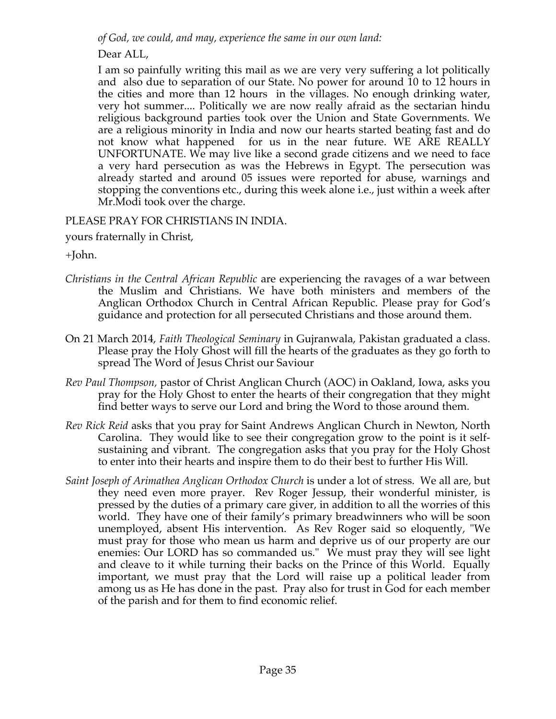*of God, we could, and may, experience the same in our own land:*

Dear ALL,

I am so painfully writing this mail as we are very very suffering a lot politically and also due to separation of our State. No power for around 10 to 12 hours in the cities and more than 12 hours in the villages. No enough drinking water, very hot summer.... Politically we are now really afraid as the sectarian hindu religious background parties took over the Union and State Governments. We are a religious minority in India and now our hearts started beating fast and do not know what happened for us in the near future. WE ARE REALLY UNFORTUNATE. We may live like a second grade citizens and we need to face a very hard persecution as was the Hebrews in Egypt. The persecution was already started and around 05 issues were reported for abuse, warnings and stopping the conventions etc., during this week alone i.e., just within a week after Mr.Modi took over the charge.

# PLEASE PRAY FOR CHRISTIANS IN INDIA.

yours fraternally in Christ,

+John.

- *Christians in the Central African Republic* are experiencing the ravages of a war between the Muslim and Christians. We have both ministers and members of the Anglican Orthodox Church in Central African Republic. Please pray for God's guidance and protection for all persecuted Christians and those around them.
- On 21 March 2014, *Faith Theological Seminary* in Gujranwala, Pakistan graduated a class. Please pray the Holy Ghost will fill the hearts of the graduates as they go forth to spread The Word of Jesus Christ our Saviour
- *Rev Paul Thompson,* pastor of Christ Anglican Church (AOC) in Oakland, Iowa, asks you pray for the Holy Ghost to enter the hearts of their congregation that they might find better ways to serve our Lord and bring the Word to those around them.
- *Rev Rick Reid* asks that you pray for Saint Andrews Anglican Church in Newton, North Carolina. They would like to see their congregation grow to the point is it selfsustaining and vibrant. The congregation asks that you pray for the Holy Ghost to enter into their hearts and inspire them to do their best to further His Will.
- *Saint Joseph of Arimathea Anglican Orthodox Church* is under a lot of stress. We all are, but they need even more prayer. Rev Roger Jessup, their wonderful minister, is pressed by the duties of a primary care giver, in addition to all the worries of this world. They have one of their family's primary breadwinners who will be soon unemployed, absent His intervention. As Rev Roger said so eloquently, "We must pray for those who mean us harm and deprive us of our property are our enemies: Our LORD has so commanded us." We must pray they will see light and cleave to it while turning their backs on the Prince of this World. Equally important, we must pray that the Lord will raise up a political leader from among us as He has done in the past. Pray also for trust in God for each member of the parish and for them to find economic relief.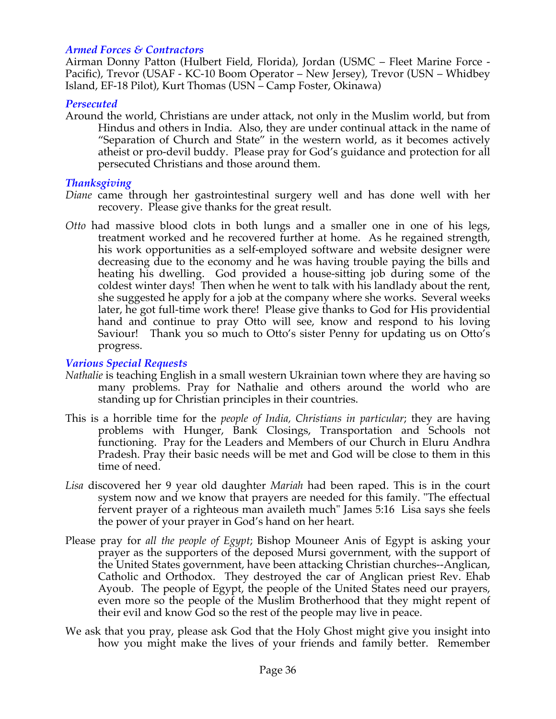### *Armed Forces & Contractors*

Airman Donny Patton (Hulbert Field, Florida), Jordan (USMC – Fleet Marine Force - Pacific), Trevor (USAF - KC-10 Boom Operator – New Jersey), Trevor (USN – Whidbey Island, EF-18 Pilot), Kurt Thomas (USN – Camp Foster, Okinawa)

#### *Persecuted*

Around the world, Christians are under attack, not only in the Muslim world, but from Hindus and others in India. Also, they are under continual attack in the name of "Separation of Church and State" in the western world, as it becomes actively atheist or pro-devil buddy. Please pray for God's guidance and protection for all persecuted Christians and those around them.

#### *Thanksgiving*

- *Diane* came through her gastrointestinal surgery well and has done well with her recovery. Please give thanks for the great result.
- *Otto* had massive blood clots in both lungs and a smaller one in one of his legs, treatment worked and he recovered further at home. As he regained strength, his work opportunities as a self-employed software and website designer were decreasing due to the economy and he was having trouble paying the bills and heating his dwelling. God provided a house-sitting job during some of the coldest winter days! Then when he went to talk with his landlady about the rent, she suggested he apply for a job at the company where she works. Several weeks later, he got full-time work there! Please give thanks to God for His providential hand and continue to pray Otto will see, know and respond to his loving Saviour! Thank you so much to Otto's sister Penny for updating us on Otto's progress.

### *Various Special Requests*

- *Nathalie* is teaching English in a small western Ukrainian town where they are having so many problems. Pray for Nathalie and others around the world who are standing up for Christian principles in their countries.
- This is a horrible time for the *people of India, Christians in particular*; they are having problems with Hunger, Bank Closings, Transportation and Schools not functioning. Pray for the Leaders and Members of our Church in Eluru Andhra Pradesh. Pray their basic needs will be met and God will be close to them in this time of need.
- *Lisa* discovered her 9 year old daughter *Mariah* had been raped. This is in the court system now and we know that prayers are needed for this family. "The effectual fervent prayer of a righteous man availeth much" James 5:16 Lisa says she feels the power of your prayer in God's hand on her heart.
- Please pray for *all the people of Egypt*; Bishop Mouneer Anis of Egypt is asking your prayer as the supporters of the deposed Mursi government, with the support of the United States government, have been attacking Christian churches--Anglican, Catholic and Orthodox. They destroyed the car of Anglican priest Rev. Ehab Ayoub. The people of Egypt, the people of the United States need our prayers, even more so the people of the Muslim Brotherhood that they might repent of their evil and know God so the rest of the people may live in peace.
- We ask that you pray, please ask God that the Holy Ghost might give you insight into how you might make the lives of your friends and family better. Remember